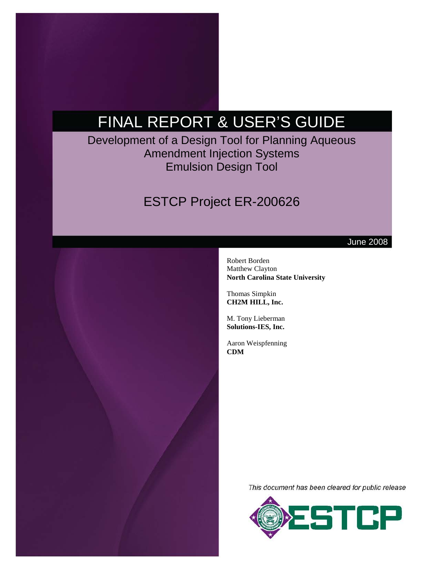# FINAL REPORT & USER'S GUIDE

Development of a Design Tool for Planning Aqueous Amendment Injection Systems Emulsion Design Tool

## ESTCP Project ER-200626



June 2008

Robert Borden Matthew Clayton **North Carolina State University**

Thomas Simpkin **CH2M HILL, Inc.**

M. Tony Lieberman **Solutions-IES, Inc.**

Aaron Weispfenning **CDM**

This document has been cleared for public release

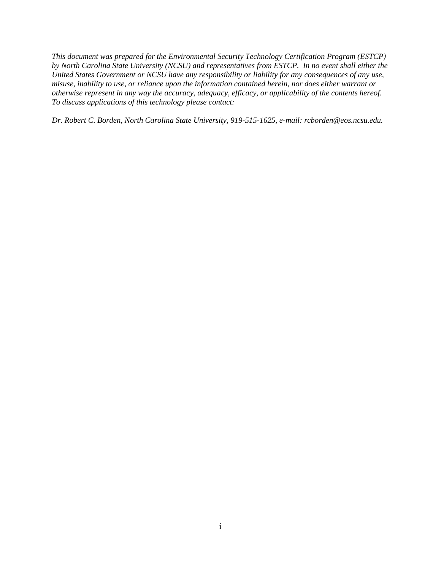*This document was prepared for the Environmental Security Technology Certification Program (ESTCP) by North Carolina State University (NCSU) and representatives from ESTCP. In no event shall either the United States Government or NCSU have any responsibility or liability for any consequences of any use, misuse, inability to use, or reliance upon the information contained herein, nor does either warrant or otherwise represent in any way the accuracy, adequacy, efficacy, or applicability of the contents hereof. To discuss applications of this technology please contact:* 

*Dr. Robert C. Borden, North Carolina State University, 919-515-1625, e-mail: rcborden@eos.ncsu.edu.*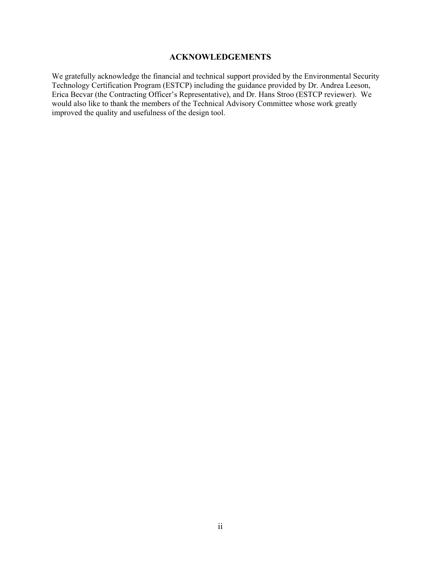#### **ACKNOWLEDGEMENTS**

We gratefully acknowledge the financial and technical support provided by the Environmental Security Technology Certification Program (ESTCP) including the guidance provided by Dr. Andrea Leeson, Erica Becvar (the Contracting Officer's Representative), and Dr. Hans Stroo (ESTCP reviewer). We would also like to thank the members of the Technical Advisory Committee whose work greatly improved the quality and usefulness of the design tool.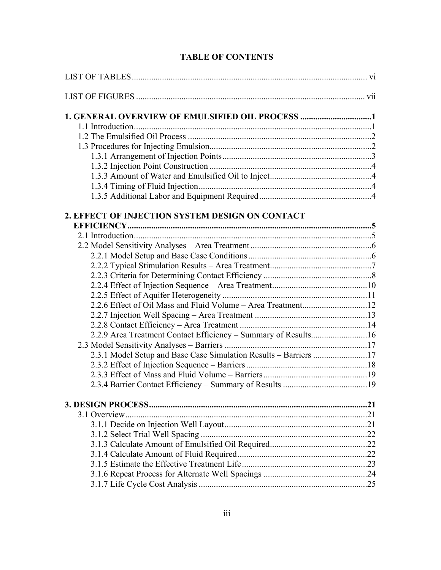|  |  | <b>TABLE OF CONTENTS</b> |
|--|--|--------------------------|
|--|--|--------------------------|

| 1. GENERAL OVERVIEW OF EMULSIFIED OIL PROCESS 1                  |  |
|------------------------------------------------------------------|--|
|                                                                  |  |
|                                                                  |  |
|                                                                  |  |
|                                                                  |  |
|                                                                  |  |
|                                                                  |  |
|                                                                  |  |
|                                                                  |  |
| 2. EFFECT OF INJECTION SYSTEM DESIGN ON CONTACT                  |  |
|                                                                  |  |
|                                                                  |  |
|                                                                  |  |
|                                                                  |  |
|                                                                  |  |
|                                                                  |  |
|                                                                  |  |
|                                                                  |  |
|                                                                  |  |
|                                                                  |  |
|                                                                  |  |
|                                                                  |  |
|                                                                  |  |
| 2.3.1 Model Setup and Base Case Simulation Results - Barriers 17 |  |
|                                                                  |  |
|                                                                  |  |
|                                                                  |  |
|                                                                  |  |
|                                                                  |  |
|                                                                  |  |
|                                                                  |  |
|                                                                  |  |
|                                                                  |  |
|                                                                  |  |
|                                                                  |  |
|                                                                  |  |
|                                                                  |  |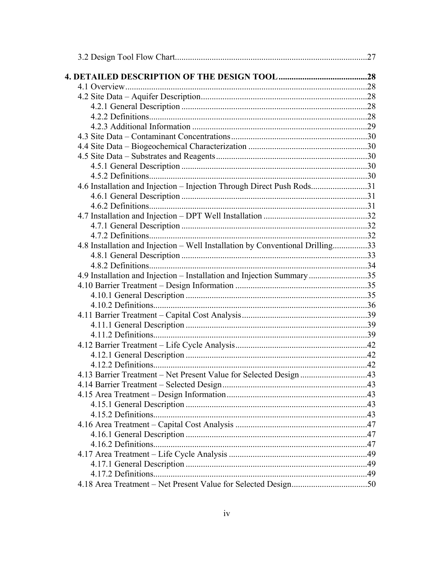|                                                                               | .27 |
|-------------------------------------------------------------------------------|-----|
|                                                                               |     |
|                                                                               |     |
|                                                                               |     |
|                                                                               |     |
|                                                                               |     |
|                                                                               |     |
|                                                                               |     |
|                                                                               |     |
|                                                                               |     |
|                                                                               |     |
|                                                                               |     |
| 4.6 Installation and Injection - Injection Through Direct Push Rods31         |     |
|                                                                               |     |
|                                                                               |     |
|                                                                               |     |
|                                                                               |     |
|                                                                               |     |
| 4.8 Installation and Injection - Well Installation by Conventional Drilling33 |     |
|                                                                               |     |
|                                                                               |     |
| 4.9 Installation and Injection - Installation and Injection Summary 35        |     |
|                                                                               |     |
|                                                                               |     |
|                                                                               |     |
|                                                                               |     |
|                                                                               |     |
|                                                                               |     |
|                                                                               |     |
|                                                                               |     |
|                                                                               |     |
| 4.13 Barrier Treatment - Net Present Value for Selected Design 43             |     |
|                                                                               |     |
|                                                                               |     |
|                                                                               |     |
|                                                                               |     |
|                                                                               |     |
|                                                                               |     |
|                                                                               |     |
|                                                                               |     |
|                                                                               |     |
|                                                                               |     |
|                                                                               |     |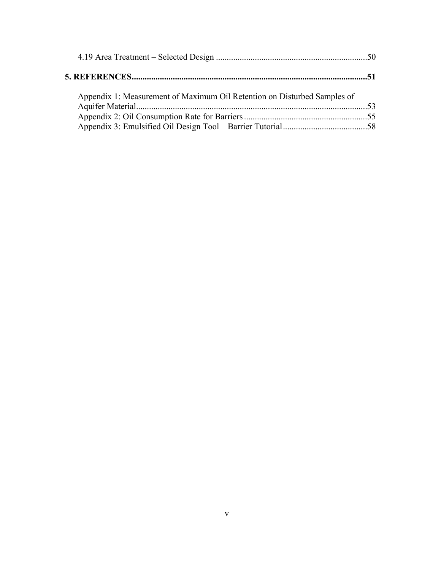| Appendix 1: Measurement of Maximum Oil Retention on Disturbed Samples of |  |
|--------------------------------------------------------------------------|--|
|                                                                          |  |
|                                                                          |  |
|                                                                          |  |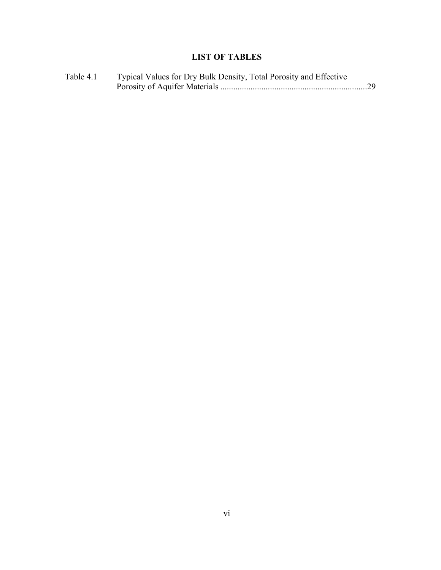## **LIST OF TABLES**

| Table 4.1 | Typical Values for Dry Bulk Density, Total Porosity and Effective |  |
|-----------|-------------------------------------------------------------------|--|
|           |                                                                   |  |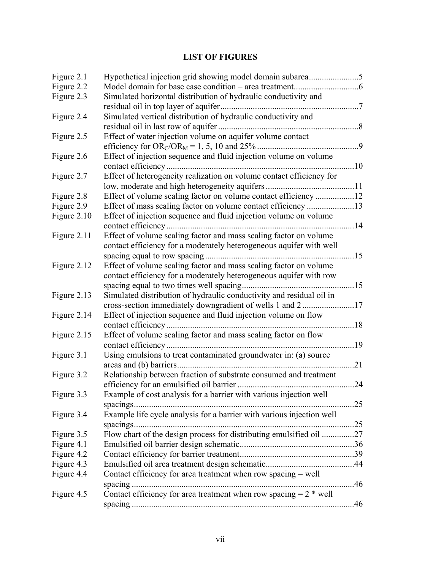## **LIST OF FIGURES**

| Figure 2.1  |                                                                       |     |
|-------------|-----------------------------------------------------------------------|-----|
| Figure 2.2  |                                                                       |     |
| Figure 2.3  | Simulated horizontal distribution of hydraulic conductivity and       |     |
|             | residual oil in top layer of aquifer                                  |     |
| Figure 2.4  | Simulated vertical distribution of hydraulic conductivity and         |     |
|             |                                                                       |     |
| Figure 2.5  | Effect of water injection volume on aquifer volume contact            |     |
|             |                                                                       |     |
| Figure 2.6  | Effect of injection sequence and fluid injection volume on volume     |     |
|             |                                                                       |     |
| Figure 2.7  | Effect of heterogeneity realization on volume contact efficiency for  |     |
|             |                                                                       |     |
| Figure 2.8  |                                                                       |     |
| Figure 2.9  |                                                                       |     |
| Figure 2.10 | Effect of injection sequence and fluid injection volume on volume     |     |
|             |                                                                       |     |
| Figure 2.11 | Effect of volume scaling factor and mass scaling factor on volume     |     |
|             | contact efficiency for a moderately heterogeneous aquifer with well   |     |
|             |                                                                       |     |
| Figure 2.12 | Effect of volume scaling factor and mass scaling factor on volume     |     |
|             | contact efficiency for a moderately heterogeneous aquifer with row    |     |
|             |                                                                       |     |
| Figure 2.13 | Simulated distribution of hydraulic conductivity and residual oil in  |     |
|             |                                                                       |     |
| Figure 2.14 | Effect of injection sequence and fluid injection volume on flow       |     |
|             |                                                                       |     |
| Figure 2.15 | Effect of volume scaling factor and mass scaling factor on flow       |     |
|             |                                                                       | .19 |
| Figure 3.1  | Using emulsions to treat contaminated groundwater in: (a) source      |     |
|             |                                                                       | .21 |
| Figure 3.2  | Relationship between fraction of substrate consumed and treatment     |     |
|             |                                                                       | .24 |
| Figure 3.3  | Example of cost analysis for a barrier with various injection well    |     |
|             | spacings                                                              | .25 |
| Figure 3.4  | Example life cycle analysis for a barrier with various injection well |     |
|             |                                                                       | .25 |
| Figure 3.5  | Flow chart of the design process for distributing emulsified oil 27   |     |
| Figure 4.1  |                                                                       |     |
| Figure 4.2  |                                                                       |     |
| Figure 4.3  |                                                                       |     |
| Figure 4.4  | Contact efficiency for area treatment when row spacing $=$ well       |     |
|             |                                                                       | .46 |
| Figure 4.5  | Contact efficiency for area treatment when row spacing $= 2$ * well   |     |
|             |                                                                       |     |
|             |                                                                       |     |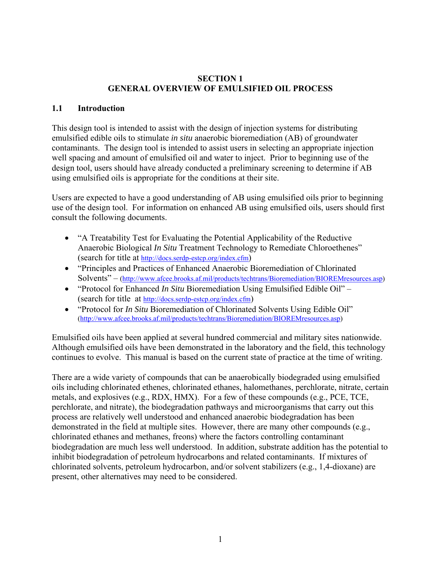#### **SECTION 1 GENERAL OVERVIEW OF EMULSIFIED OIL PROCESS**

#### **1.1 Introduction**

This design tool is intended to assist with the design of injection systems for distributing emulsified edible oils to stimulate *in situ* anaerobic bioremediation (AB) of groundwater contaminants. The design tool is intended to assist users in selecting an appropriate injection well spacing and amount of emulsified oil and water to inject. Prior to beginning use of the design tool, users should have already conducted a preliminary screening to determine if AB using emulsified oils is appropriate for the conditions at their site.

Users are expected to have a good understanding of AB using emulsified oils prior to beginning use of the design tool. For information on enhanced AB using emulsified oils, users should first consult the following documents.

- "A Treatability Test for Evaluating the Potential Applicability of the Reductive Anaerobic Biological *In Situ* Treatment Technology to Remediate Chloroethenes" (search for title at<http://docs.serdp-estcp.org/index.cfm>)
- "Principles and Practices of Enhanced Anaerobic Bioremediation of Chlorinated Solvents" – [\(http://www.afcee.brooks.af.mil/products/techtrans/Bioremediation/BIOREMresources.asp](http://www.afcee.brooks.af.mil/products/techtrans/Bioremediation/BIOREMresources.asp))
- "Protocol for Enhanced *In Situ* Bioremediation Using Emulsified Edible Oil" (search for title at<http://docs.serdp-estcp.org/index.cfm>)
- "Protocol for *In Situ* Bioremediation of Chlorinated Solvents Using Edible Oil" [\(http://www.afcee.brooks.af.mil/products/techtrans/Bioremediation/BIOREMresources.asp\)](http://www.afcee.brooks.af.mil/products/techtrans/Bioremediation/BIOREMresources.asp)

Emulsified oils have been applied at several hundred commercial and military sites nationwide. Although emulsified oils have been demonstrated in the laboratory and the field, this technology continues to evolve. This manual is based on the current state of practice at the time of writing.

There are a wide variety of compounds that can be anaerobically biodegraded using emulsified oils including chlorinated ethenes, chlorinated ethanes, halomethanes, perchlorate, nitrate, certain metals, and explosives (e.g., RDX, HMX). For a few of these compounds (e.g., PCE, TCE, perchlorate, and nitrate), the biodegradation pathways and microorganisms that carry out this process are relatively well understood and enhanced anaerobic biodegradation has been demonstrated in the field at multiple sites. However, there are many other compounds (e.g., chlorinated ethanes and methanes, freons) where the factors controlling contaminant biodegradation are much less well understood. In addition, substrate addition has the potential to inhibit biodegradation of petroleum hydrocarbons and related contaminants. If mixtures of chlorinated solvents, petroleum hydrocarbon, and/or solvent stabilizers (e.g., 1,4-dioxane) are present, other alternatives may need to be considered.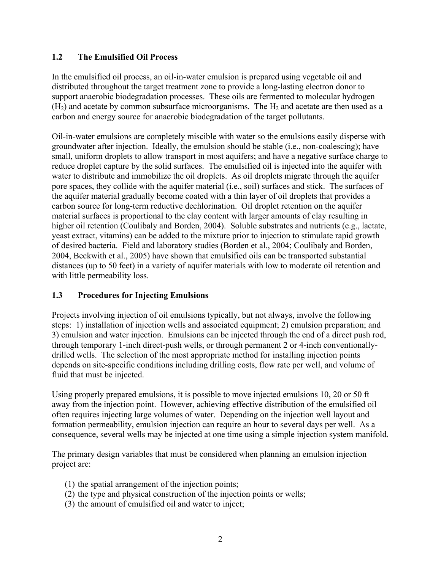## **1.2 The Emulsified Oil Process**

In the emulsified oil process, an oil-in-water emulsion is prepared using vegetable oil and distributed throughout the target treatment zone to provide a long-lasting electron donor to support anaerobic biodegradation processes. These oils are fermented to molecular hydrogen  $(H<sub>2</sub>)$  and acetate by common subsurface microorganisms. The  $H<sub>2</sub>$  and acetate are then used as a carbon and energy source for anaerobic biodegradation of the target pollutants.

Oil-in-water emulsions are completely miscible with water so the emulsions easily disperse with groundwater after injection. Ideally, the emulsion should be stable (i.e., non-coalescing); have small, uniform droplets to allow transport in most aquifers; and have a negative surface charge to reduce droplet capture by the solid surfaces. The emulsified oil is injected into the aquifer with water to distribute and immobilize the oil droplets. As oil droplets migrate through the aquifer pore spaces, they collide with the aquifer material (i.e., soil) surfaces and stick. The surfaces of the aquifer material gradually become coated with a thin layer of oil droplets that provides a carbon source for long-term reductive dechlorination. Oil droplet retention on the aquifer material surfaces is proportional to the clay content with larger amounts of clay resulting in higher oil retention (Coulibaly and Borden, 2004). Soluble substrates and nutrients (e.g., lactate, yeast extract, vitamins) can be added to the mixture prior to injection to stimulate rapid growth of desired bacteria. Field and laboratory studies (Borden et al., 2004; Coulibaly and Borden, 2004, Beckwith et al., 2005) have shown that emulsified oils can be transported substantial distances (up to 50 feet) in a variety of aquifer materials with low to moderate oil retention and with little permeability loss.

## **1.3 Procedures for Injecting Emulsions**

Projects involving injection of oil emulsions typically, but not always, involve the following steps: 1) installation of injection wells and associated equipment; 2) emulsion preparation; and 3) emulsion and water injection. Emulsions can be injected through the end of a direct push rod, through temporary 1-inch direct-push wells, or through permanent 2 or 4-inch conventionallydrilled wells. The selection of the most appropriate method for installing injection points depends on site-specific conditions including drilling costs, flow rate per well, and volume of fluid that must be injected.

Using properly prepared emulsions, it is possible to move injected emulsions 10, 20 or 50 ft away from the injection point. However, achieving effective distribution of the emulsified oil often requires injecting large volumes of water. Depending on the injection well layout and formation permeability, emulsion injection can require an hour to several days per well. As a consequence, several wells may be injected at one time using a simple injection system manifold.

The primary design variables that must be considered when planning an emulsion injection project are:

- (1) the spatial arrangement of the injection points;
- (2) the type and physical construction of the injection points or wells;
- (3) the amount of emulsified oil and water to inject;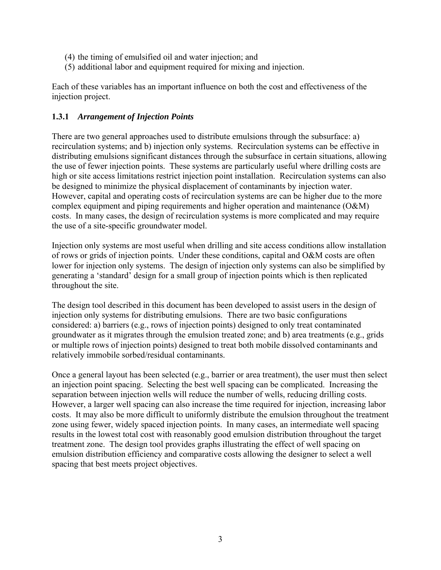- (4) the timing of emulsified oil and water injection; and
- (5) additional labor and equipment required for mixing and injection.

Each of these variables has an important influence on both the cost and effectiveness of the injection project.

#### **1.3.1** *Arrangement of Injection Points*

There are two general approaches used to distribute emulsions through the subsurface: a) recirculation systems; and b) injection only systems. Recirculation systems can be effective in distributing emulsions significant distances through the subsurface in certain situations, allowing the use of fewer injection points. These systems are particularly useful where drilling costs are high or site access limitations restrict injection point installation. Recirculation systems can also be designed to minimize the physical displacement of contaminants by injection water. However, capital and operating costs of recirculation systems are can be higher due to the more complex equipment and piping requirements and higher operation and maintenance (O&M) costs. In many cases, the design of recirculation systems is more complicated and may require the use of a site-specific groundwater model.

Injection only systems are most useful when drilling and site access conditions allow installation of rows or grids of injection points. Under these conditions, capital and O&M costs are often lower for injection only systems. The design of injection only systems can also be simplified by generating a 'standard' design for a small group of injection points which is then replicated throughout the site.

The design tool described in this document has been developed to assist users in the design of injection only systems for distributing emulsions. There are two basic configurations considered: a) barriers (e.g., rows of injection points) designed to only treat contaminated groundwater as it migrates through the emulsion treated zone; and b) area treatments (e.g., grids or multiple rows of injection points) designed to treat both mobile dissolved contaminants and relatively immobile sorbed/residual contaminants.

Once a general layout has been selected (e.g., barrier or area treatment), the user must then select an injection point spacing. Selecting the best well spacing can be complicated. Increasing the separation between injection wells will reduce the number of wells, reducing drilling costs. However, a larger well spacing can also increase the time required for injection, increasing labor costs. It may also be more difficult to uniformly distribute the emulsion throughout the treatment zone using fewer, widely spaced injection points. In many cases, an intermediate well spacing results in the lowest total cost with reasonably good emulsion distribution throughout the target treatment zone. The design tool provides graphs illustrating the effect of well spacing on emulsion distribution efficiency and comparative costs allowing the designer to select a well spacing that best meets project objectives.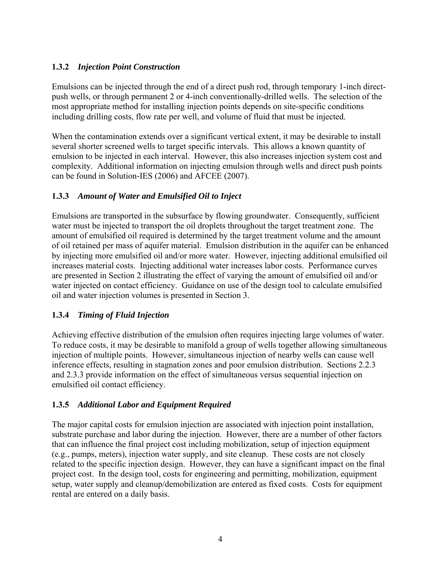## **1.3.2** *Injection Point Construction*

Emulsions can be injected through the end of a direct push rod, through temporary 1-inch directpush wells, or through permanent 2 or 4-inch conventionally-drilled wells. The selection of the most appropriate method for installing injection points depends on site-specific conditions including drilling costs, flow rate per well, and volume of fluid that must be injected.

When the contamination extends over a significant vertical extent, it may be desirable to install several shorter screened wells to target specific intervals. This allows a known quantity of emulsion to be injected in each interval. However, this also increases injection system cost and complexity. Additional information on injecting emulsion through wells and direct push points can be found in Solution-IES (2006) and AFCEE (2007).

## **1.3.3** *Amount of Water and Emulsified Oil to Inject*

Emulsions are transported in the subsurface by flowing groundwater. Consequently, sufficient water must be injected to transport the oil droplets throughout the target treatment zone. The amount of emulsified oil required is determined by the target treatment volume and the amount of oil retained per mass of aquifer material. Emulsion distribution in the aquifer can be enhanced by injecting more emulsified oil and/or more water. However, injecting additional emulsified oil increases material costs. Injecting additional water increases labor costs. Performance curves are presented in Section 2 illustrating the effect of varying the amount of emulsified oil and/or water injected on contact efficiency. Guidance on use of the design tool to calculate emulsified oil and water injection volumes is presented in Section 3.

## **1.3.4** *Timing of Fluid Injection*

Achieving effective distribution of the emulsion often requires injecting large volumes of water. To reduce costs, it may be desirable to manifold a group of wells together allowing simultaneous injection of multiple points. However, simultaneous injection of nearby wells can cause well inference effects, resulting in stagnation zones and poor emulsion distribution. Sections 2.2.3 and 2.3.3 provide information on the effect of simultaneous versus sequential injection on emulsified oil contact efficiency.

## **1.3.5** *Additional Labor and Equipment Required*

The major capital costs for emulsion injection are associated with injection point installation, substrate purchase and labor during the injection. However, there are a number of other factors that can influence the final project cost including mobilization, setup of injection equipment (e.g., pumps, meters), injection water supply, and site cleanup. These costs are not closely related to the specific injection design. However, they can have a significant impact on the final project cost. In the design tool, costs for engineering and permitting, mobilization, equipment setup, water supply and cleanup/demobilization are entered as fixed costs. Costs for equipment rental are entered on a daily basis.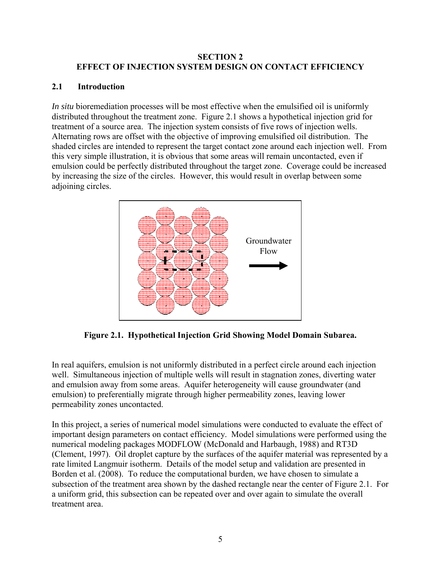#### **SECTION 2 EFFECT OF INJECTION SYSTEM DESIGN ON CONTACT EFFICIENCY**

## **2.1 Introduction**

*In situ* bioremediation processes will be most effective when the emulsified oil is uniformly distributed throughout the treatment zone. Figure 2.1 shows a hypothetical injection grid for treatment of a source area. The injection system consists of five rows of injection wells. Alternating rows are offset with the objective of improving emulsified oil distribution. The shaded circles are intended to represent the target contact zone around each injection well. From this very simple illustration, it is obvious that some areas will remain uncontacted, even if emulsion could be perfectly distributed throughout the target zone. Coverage could be increased by increasing the size of the circles. However, this would result in overlap between some adjoining circles.



**Figure 2.1. Hypothetical Injection Grid Showing Model Domain Subarea.** 

In real aquifers, emulsion is not uniformly distributed in a perfect circle around each injection well. Simultaneous injection of multiple wells will result in stagnation zones, diverting water and emulsion away from some areas. Aquifer heterogeneity will cause groundwater (and emulsion) to preferentially migrate through higher permeability zones, leaving lower permeability zones uncontacted.

In this project, a series of numerical model simulations were conducted to evaluate the effect of important design parameters on contact efficiency. Model simulations were performed using the numerical modeling packages MODFLOW (McDonald and Harbaugh, 1988) and RT3D (Clement, 1997). Oil droplet capture by the surfaces of the aquifer material was represented by a rate limited Langmuir isotherm. Details of the model setup and validation are presented in Borden et al. (2008). To reduce the computational burden, we have chosen to simulate a subsection of the treatment area shown by the dashed rectangle near the center of Figure 2.1. For a uniform grid, this subsection can be repeated over and over again to simulate the overall treatment area.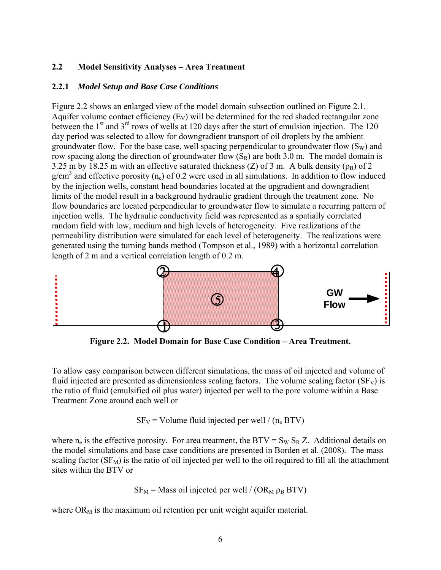#### **2.2 Model Sensitivity Analyses – Area Treatment**

#### **2.2.1** *Model Setup and Base Case Conditions*

Figure 2.2 shows an enlarged view of the model domain subsection outlined on Figure 2.1. Aquifer volume contact efficiency  $(E_V)$  will be determined for the red shaded rectangular zone between the 1<sup>st</sup> and 3<sup>rd</sup> rows of wells at 120 days after the start of emulsion injection. The 120 day period was selected to allow for downgradient transport of oil droplets by the ambient groundwater flow. For the base case, well spacing perpendicular to groundwater flow  $(S_W)$  and row spacing along the direction of groundwater flow  $(S_R)$  are both 3.0 m. The model domain is 3.25 m by 18.25 m with an effective saturated thickness (Z) of 3 m. A bulk density ( $\rho_B$ ) of 2  $g/cm<sup>3</sup>$  and effective porosity (n<sub>e</sub>) of 0.2 were used in all simulations. In addition to flow induced by the injection wells, constant head boundaries located at the upgradient and downgradient limits of the model result in a background hydraulic gradient through the treatment zone. No flow boundaries are located perpendicular to groundwater flow to simulate a recurring pattern of injection wells. The hydraulic conductivity field was represented as a spatially correlated random field with low, medium and high levels of heterogeneity. Five realizations of the permeability distribution were simulated for each level of heterogeneity. The realizations were generated using the turning bands method (Tompson et al., 1989) with a horizontal correlation length of 2 m and a vertical correlation length of 0.2 m.



**Figure 2.2. Model Domain for Base Case Condition – Area Treatment.** 

To allow easy comparison between different simulations, the mass of oil injected and volume of fluid injected are presented as dimensionless scaling factors. The volume scaling factor  $(SF_V)$  is the ratio of fluid (emulsified oil plus water) injected per well to the pore volume within a Base Treatment Zone around each well or

 $SF_V = Volume$  fluid injected per well / (n<sub>e</sub> BTV)

where  $n_e$  is the effective porosity. For area treatment, the BTV =  $S_W S_R Z$ . Additional details on the model simulations and base case conditions are presented in Borden et al. (2008). The mass scaling factor  $(SF_M)$  is the ratio of oil injected per well to the oil required to fill all the attachment sites within the BTV or

 $SF_M$  = Mass oil injected per well / (OR<sub>M</sub>  $\rho_B$  BTV)

where  $OR_M$  is the maximum oil retention per unit weight aquifer material.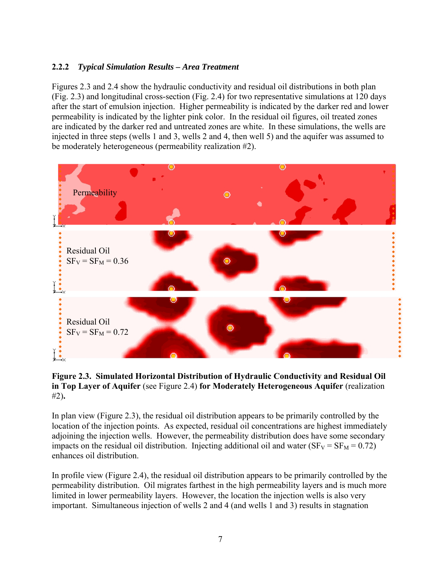## **2.2.2** *Typical Simulation Results – Area Treatment*

Figures 2.3 and 2.4 show the hydraulic conductivity and residual oil distributions in both plan (Fig. 2.3) and longitudinal cross-section (Fig. 2.4) for two representative simulations at 120 days after the start of emulsion injection. Higher permeability is indicated by the darker red and lower permeability is indicated by the lighter pink color. In the residual oil figures, oil treated zones are indicated by the darker red and untreated zones are white. In these simulations, the wells are injected in three steps (wells 1 and 3, wells 2 and 4, then well 5) and the aquifer was assumed to be moderately heterogeneous (permeability realization #2).



**Figure 2.3. Simulated Horizontal Distribution of Hydraulic Conductivity and Residual Oil in Top Layer of Aquifer** (see Figure 2.4) **for Moderately Heterogeneous Aquifer** (realization #2)**.** 

In plan view (Figure 2.3), the residual oil distribution appears to be primarily controlled by the location of the injection points. As expected, residual oil concentrations are highest immediately adjoining the injection wells. However, the permeability distribution does have some secondary impacts on the residual oil distribution. Injecting additional oil and water  $(SF_V = SF_M = 0.72)$ enhances oil distribution.

In profile view (Figure 2.4), the residual oil distribution appears to be primarily controlled by the permeability distribution. Oil migrates farthest in the high permeability layers and is much more limited in lower permeability layers. However, the location the injection wells is also very important. Simultaneous injection of wells 2 and 4 (and wells 1 and 3) results in stagnation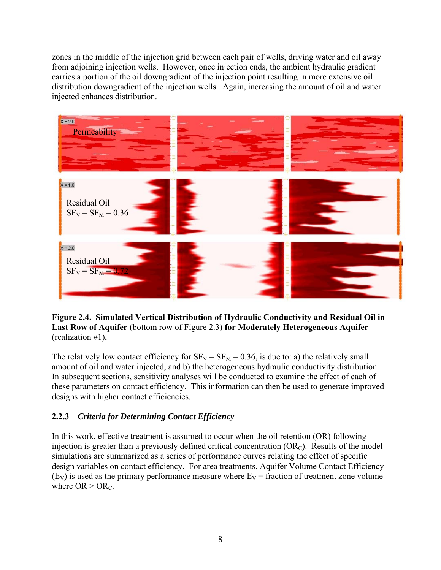zones in the middle of the injection grid between each pair of wells, driving water and oil away from adjoining injection wells. However, once injection ends, the ambient hydraulic gradient carries a portion of the oil downgradient of the injection point resulting in more extensive oil distribution downgradient of the injection wells. Again, increasing the amount of oil and water injected enhances distribution.



**Figure 2.4. Simulated Vertical Distribution of Hydraulic Conductivity and Residual Oil in Last Row of Aquifer** (bottom row of Figure 2.3) **for Moderately Heterogeneous Aquifer**  (realization #1)**.** 

The relatively low contact efficiency for  $SF_V = SF_M = 0.36$ , is due to: a) the relatively small amount of oil and water injected, and b) the heterogeneous hydraulic conductivity distribution. In subsequent sections, sensitivity analyses will be conducted to examine the effect of each of these parameters on contact efficiency. This information can then be used to generate improved designs with higher contact efficiencies.

## **2.2.3** *Criteria for Determining Contact Efficiency*

In this work, effective treatment is assumed to occur when the oil retention (OR) following injection is greater than a previously defined critical concentration  $(OR_C)$ . Results of the model simulations are summarized as a series of performance curves relating the effect of specific design variables on contact efficiency. For area treatments, Aquifer Volume Contact Efficiency  $(E_V)$  is used as the primary performance measure where  $E_V$  = fraction of treatment zone volume where  $OR > OR_C$ .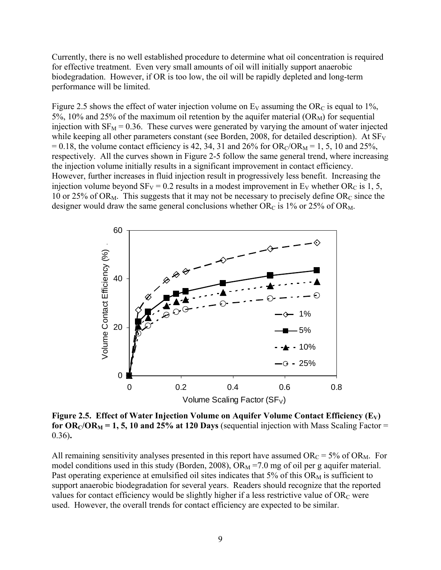Currently, there is no well established procedure to determine what oil concentration is required for effective treatment. Even very small amounts of oil will initially support anaerobic biodegradation. However, if OR is too low, the oil will be rapidly depleted and long-term performance will be limited.

Figure 2.5 shows the effect of water injection volume on  $E_V$  assuming the OR<sub>C</sub> is equal to 1%, 5%, 10% and 25% of the maximum oil retention by the aquifer material  $(OR_M)$  for sequential injection with  $SF_M = 0.36$ . These curves were generated by varying the amount of water injected while keeping all other parameters constant (see Borden, 2008, for detailed description). At  $SF<sub>V</sub>$  $= 0.18$ , the volume contact efficiency is 42, 34, 31 and 26% for OR<sub>C</sub>/OR<sub>M</sub> = 1, 5, 10 and 25%, respectively. All the curves shown in Figure 2-5 follow the same general trend, where increasing the injection volume initially results in a significant improvement in contact efficiency. However, further increases in fluid injection result in progressively less benefit. Increasing the injection volume beyond  $SF_V = 0.2$  results in a modest improvement in  $E_V$  whether OR<sub>C</sub> is 1, 5, 10 or 25% of OR<sub>M</sub>. This suggests that it may not be necessary to precisely define OR<sub>C</sub> since the designer would draw the same general conclusions whether OR<sub>C</sub> is 1% or 25% of OR<sub>M</sub>.



Figure 2.5. Effect of Water Injection Volume on Aquifer Volume Contact Efficiency (E<sub>V</sub>) for  $OR_C/OR_M = 1, 5, 10$  and 25% at 120 Days (sequential injection with Mass Scaling Factor = 0.36)**.** 

All remaining sensitivity analyses presented in this report have assumed  $OR_C = 5\%$  of  $OR_M$ . For model conditions used in this study (Borden, 2008),  $OR_M = 7.0$  mg of oil per g aquifer material. Past operating experience at emulsified oil sites indicates that  $5\%$  of this OR<sub>M</sub> is sufficient to support anaerobic biodegradation for several years. Readers should recognize that the reported values for contact efficiency would be slightly higher if a less restrictive value of  $OR_C$  were used. However, the overall trends for contact efficiency are expected to be similar.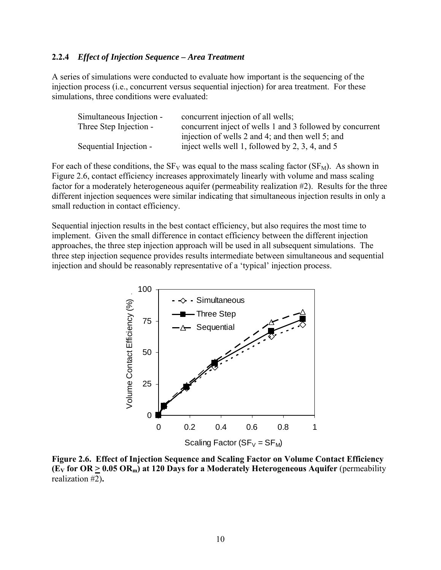#### **2.2.4** *Effect of Injection Sequence – Area Treatment*

A series of simulations were conducted to evaluate how important is the sequencing of the injection process (i.e., concurrent versus sequential injection) for area treatment. For these simulations, three conditions were evaluated:

| Simultaneous Injection - | concurrent injection of all wells;                        |
|--------------------------|-----------------------------------------------------------|
| Three Step Injection -   | concurrent inject of wells 1 and 3 followed by concurrent |
|                          | injection of wells 2 and 4; and then well 5; and          |
| Sequential Injection -   | inject wells well 1, followed by 2, 3, 4, and 5           |

For each of these conditions, the  $SF_V$  was equal to the mass scaling factor ( $SF_M$ ). As shown in Figure 2.6, contact efficiency increases approximately linearly with volume and mass scaling factor for a moderately heterogeneous aquifer (permeability realization #2). Results for the three different injection sequences were similar indicating that simultaneous injection results in only a small reduction in contact efficiency.

Sequential injection results in the best contact efficiency, but also requires the most time to implement. Given the small difference in contact efficiency between the different injection approaches, the three step injection approach will be used in all subsequent simulations. The three step injection sequence provides results intermediate between simultaneous and sequential injection and should be reasonably representative of a 'typical' injection process.



**Figure 2.6. Effect of Injection Sequence and Scaling Factor on Volume Contact Efficiency (EV for OR > 0.05 ORm) at 120 Days for a Moderately Heterogeneous Aquifer** (permeability realization #2)**.**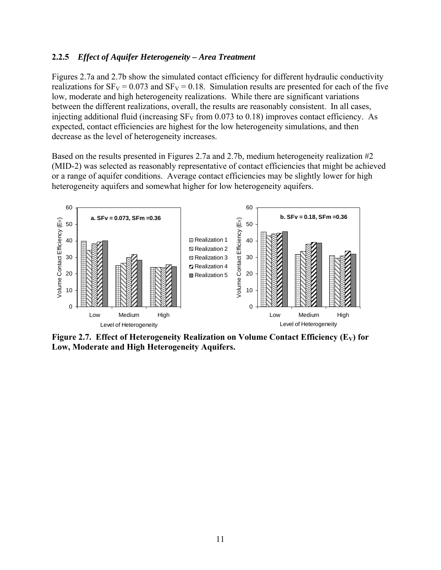#### **2.2.5** *Effect of Aquifer Heterogeneity – Area Treatment*

Figures 2.7a and 2.7b show the simulated contact efficiency for different hydraulic conductivity realizations for  $SF_V = 0.073$  and  $SF_V = 0.18$ . Simulation results are presented for each of the five low, moderate and high heterogeneity realizations. While there are significant variations between the different realizations, overall, the results are reasonably consistent. In all cases, injecting additional fluid (increasing  $SF_V$  from 0.073 to 0.18) improves contact efficiency. As expected, contact efficiencies are highest for the low heterogeneity simulations, and then decrease as the level of heterogeneity increases.

Based on the results presented in Figures 2.7a and 2.7b, medium heterogeneity realization #2 (MID-2) was selected as reasonably representative of contact efficiencies that might be achieved or a range of aquifer conditions. Average contact efficiencies may be slightly lower for high heterogeneity aquifers and somewhat higher for low heterogeneity aquifers.



Figure 2.7. Effect of Heterogeneity Realization on Volume Contact Efficiency (E<sub>V</sub>) for **Low, Moderate and High Heterogeneity Aquifers.**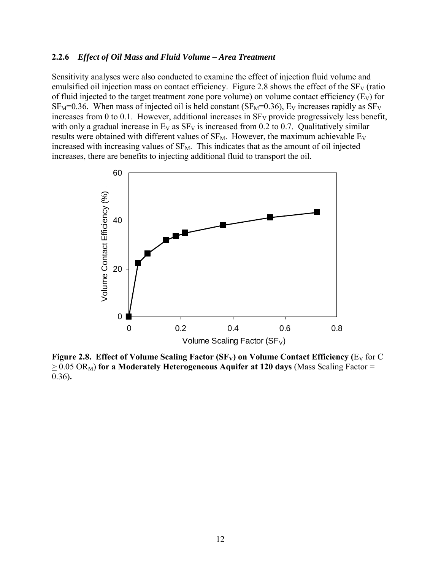#### **2.2.6** *Effect of Oil Mass and Fluid Volume – Area Treatment*

Sensitivity analyses were also conducted to examine the effect of injection fluid volume and emulsified oil injection mass on contact efficiency. Figure 2.8 shows the effect of the  $SF<sub>V</sub>$  (ratio of fluid injected to the target treatment zone pore volume) on volume contact efficiency  $(E_V)$  for  $SF_M=0.36$ . When mass of injected oil is held constant ( $SF_M=0.36$ ),  $E_V$  increases rapidly as  $SF_V$ increases from 0 to 0.1. However, additional increases in  $SF<sub>V</sub>$  provide progressively less benefit, with only a gradual increase in  $E_V$  as  $SF_V$  is increased from 0.2 to 0.7. Qualitatively similar results were obtained with different values of  $SF_M$ . However, the maximum achievable  $E_V$ increased with increasing values of  $SF_M$ . This indicates that as the amount of oil injected increases, there are benefits to injecting additional fluid to transport the oil.



**Figure 2.8. Effect of Volume Scaling Factor (SF<sub>V</sub>) on Volume Contact Efficiency (** $E_V$  **for C)**  $\geq$  0.05 OR<sub>M</sub>) for a Moderately Heterogeneous Aquifer at 120 days (Mass Scaling Factor = 0.36)**.**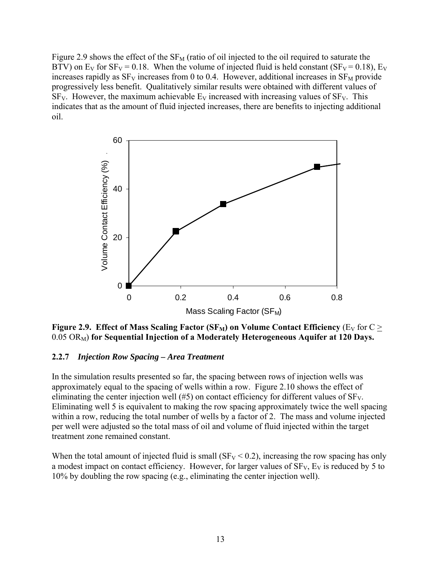Figure 2.9 shows the effect of the  $SF_{M}$  (ratio of oil injected to the oil required to saturate the BTV) on E<sub>V</sub> for  $SF_V = 0.18$ . When the volume of injected fluid is held constant ( $SF_V = 0.18$ ), E<sub>V</sub> increases rapidly as  $SF_V$  increases from 0 to 0.4. However, additional increases in  $SF_M$  provide progressively less benefit. Qualitatively similar results were obtained with different values of  $SF<sub>V</sub>$ . However, the maximum achievable  $E<sub>V</sub>$  increased with increasing values of  $SF<sub>V</sub>$ . This indicates that as the amount of fluid injected increases, there are benefits to injecting additional oil.



**Figure 2.9. Effect of Mass Scaling Factor**  $(SF_M)$  **on Volume Contact Efficiency** (E<sub>V</sub> for C > 0.05 ORM) **for Sequential Injection of a Moderately Heterogeneous Aquifer at 120 Days.** 

#### **2.2.7** *Injection Row Spacing – Area Treatment*

In the simulation results presented so far, the spacing between rows of injection wells was approximately equal to the spacing of wells within a row. Figure 2.10 shows the effect of eliminating the center injection well  $(\# 5)$  on contact efficiency for different values of  $SF<sub>V</sub>$ . Eliminating well 5 is equivalent to making the row spacing approximately twice the well spacing within a row, reducing the total number of wells by a factor of 2. The mass and volume injected per well were adjusted so the total mass of oil and volume of fluid injected within the target treatment zone remained constant.

When the total amount of injected fluid is small ( $SF_V < 0.2$ ), increasing the row spacing has only a modest impact on contact efficiency. However, for larger values of  $SF<sub>V</sub>$ ,  $Ev<sub>V</sub>$  is reduced by 5 to 10% by doubling the row spacing (e.g., eliminating the center injection well).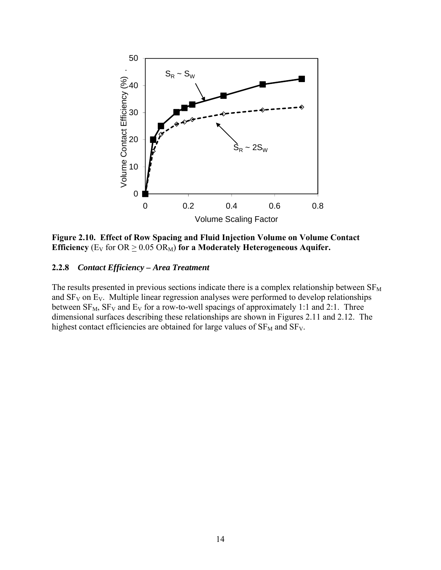

**Figure 2.10. Effect of Row Spacing and Fluid Injection Volume on Volume Contact Efficiency** ( $E_V$  for  $OR \geq 0.05$   $OR_M$ ) for a Moderately Heterogeneous Aquifer.

#### **2.2.8** *Contact Efficiency – Area Treatment*

The results presented in previous sections indicate there is a complex relationship between  $SF_{M}$ and  $SF_V$  on  $E_V$ . Multiple linear regression analyses were performed to develop relationships between  $SF_{M}$ ,  $SF_{V}$  and  $E_{V}$  for a row-to-well spacings of approximately 1:1 and 2:1. Three dimensional surfaces describing these relationships are shown in Figures 2.11 and 2.12. The highest contact efficiencies are obtained for large values of  $SF<sub>M</sub>$  and  $SF<sub>V</sub>$ .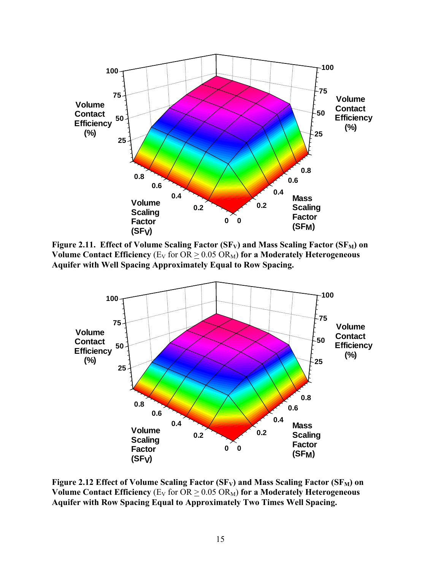

Figure 2.11. Effect of Volume Scaling Factor (SF<sub>V</sub>) and Mass Scaling Factor (SF<sub>M</sub>) on **Volume Contact Efficiency** ( $E_V$  for  $OR > 0.05$   $OR_M$ ) for a Moderately Heterogeneous **Aquifer with Well Spacing Approximately Equal to Row Spacing.** 



Figure 2.12 Effect of Volume Scaling Factor (SF<sub>V</sub>) and Mass Scaling Factor (SF<sub>M</sub>) on **Volume Contact Efficiency** ( $E_V$  for  $OR > 0.05$   $OR_M$ ) for a Moderately Heterogeneous **Aquifer with Row Spacing Equal to Approximately Two Times Well Spacing.**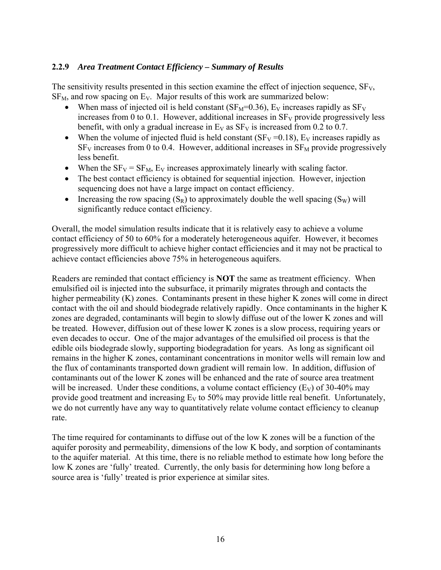## **2.2.9** *Area Treatment Contact Efficiency – Summary of Results*

The sensitivity results presented in this section examine the effect of injection sequence,  $SF<sub>V</sub>$ ,  $SF<sub>M</sub>$ , and row spacing on E<sub>V</sub>. Major results of this work are summarized below:

- When mass of injected oil is held constant ( $SF_M=0.36$ ),  $E_V$  increases rapidly as  $SF_V$ increases from 0 to 0.1. However, additional increases in  $SF_V$  provide progressively less benefit, with only a gradual increase in  $E_V$  as  $SF_V$  is increased from 0.2 to 0.7.
- When the volume of injected fluid is held constant ( $SF_V = 0.18$ ),  $E_V$  increases rapidly as  $SF<sub>V</sub>$  increases from 0 to 0.4. However, additional increases in  $SF<sub>M</sub>$  provide progressively less benefit.
- When the  $SF_V = SF_M$ ,  $E_V$  increases approximately linearly with scaling factor.
- The best contact efficiency is obtained for sequential injection. However, injection sequencing does not have a large impact on contact efficiency.
- Increasing the row spacing  $(S_R)$  to approximately double the well spacing  $(S_W)$  will significantly reduce contact efficiency.

Overall, the model simulation results indicate that it is relatively easy to achieve a volume contact efficiency of 50 to 60% for a moderately heterogeneous aquifer. However, it becomes progressively more difficult to achieve higher contact efficiencies and it may not be practical to achieve contact efficiencies above 75% in heterogeneous aquifers.

Readers are reminded that contact efficiency is **NOT** the same as treatment efficiency. When emulsified oil is injected into the subsurface, it primarily migrates through and contacts the higher permeability (K) zones. Contaminants present in these higher K zones will come in direct contact with the oil and should biodegrade relatively rapidly. Once contaminants in the higher K zones are degraded, contaminants will begin to slowly diffuse out of the lower K zones and will be treated. However, diffusion out of these lower K zones is a slow process, requiring years or even decades to occur. One of the major advantages of the emulsified oil process is that the edible oils biodegrade slowly, supporting biodegradation for years. As long as significant oil remains in the higher K zones, contaminant concentrations in monitor wells will remain low and the flux of contaminants transported down gradient will remain low. In addition, diffusion of contaminants out of the lower K zones will be enhanced and the rate of source area treatment will be increased. Under these conditions, a volume contact efficiency  $(E_V)$  of 30-40% may provide good treatment and increasing  $E_V$  to 50% may provide little real benefit. Unfortunately, we do not currently have any way to quantitatively relate volume contact efficiency to cleanup rate.

The time required for contaminants to diffuse out of the low K zones will be a function of the aquifer porosity and permeability, dimensions of the low K body, and sorption of contaminants to the aquifer material. At this time, there is no reliable method to estimate how long before the low K zones are 'fully' treated. Currently, the only basis for determining how long before a source area is 'fully' treated is prior experience at similar sites.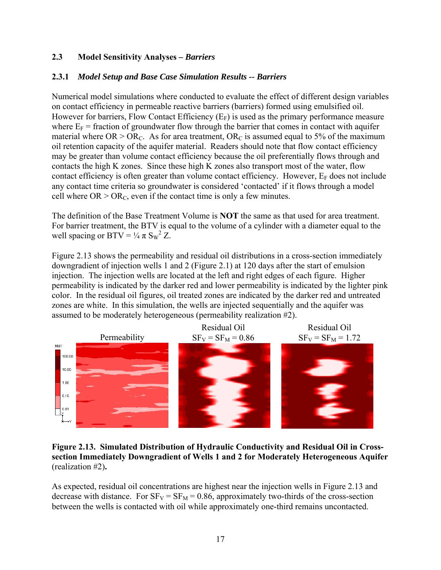## **2.3 Model Sensitivity Analyses** *– Barriers*

## **2.3.1** *Model Setup and Base Case Simulation Results -- Barriers*

Numerical model simulations where conducted to evaluate the effect of different design variables on contact efficiency in permeable reactive barriers (barriers) formed using emulsified oil. However for barriers, Flow Contact Efficiency  $(E_F)$  is used as the primary performance measure where  $E_F$  = fraction of groundwater flow through the barrier that comes in contact with aquifer material where  $OR > OR_C$ . As for area treatment,  $OR_C$  is assumed equal to 5% of the maximum oil retention capacity of the aquifer material. Readers should note that flow contact efficiency may be greater than volume contact efficiency because the oil preferentially flows through and contacts the high K zones. Since these high K zones also transport most of the water, flow contact efficiency is often greater than volume contact efficiency. However,  $E_F$  does not include any contact time criteria so groundwater is considered 'contacted' if it flows through a model cell where  $OR > OR_C$ , even if the contact time is only a few minutes.

The definition of the Base Treatment Volume is **NOT** the same as that used for area treatment. For barrier treatment, the BTV is equal to the volume of a cylinder with a diameter equal to the well spacing or BTV =  $\frac{1}{4} \pi S_w^2 Z$ .

Figure 2.13 shows the permeability and residual oil distributions in a cross-section immediately downgradient of injection wells 1 and 2 (Figure 2.1) at 120 days after the start of emulsion injection. The injection wells are located at the left and right edges of each figure. Higher permeability is indicated by the darker red and lower permeability is indicated by the lighter pink color. In the residual oil figures, oil treated zones are indicated by the darker red and untreated zones are white. In this simulation, the wells are injected sequentially and the aquifer was assumed to be moderately heterogeneous (permeability realization #2).



**Figure 2.13. Simulated Distribution of Hydraulic Conductivity and Residual Oil in Crosssection Immediately Downgradient of Wells 1 and 2 for Moderately Heterogeneous Aquifer**  (realization #2)**.** 

As expected, residual oil concentrations are highest near the injection wells in Figure 2.13 and decrease with distance. For  $SF_V = SF_M = 0.86$ , approximately two-thirds of the cross-section between the wells is contacted with oil while approximately one-third remains uncontacted.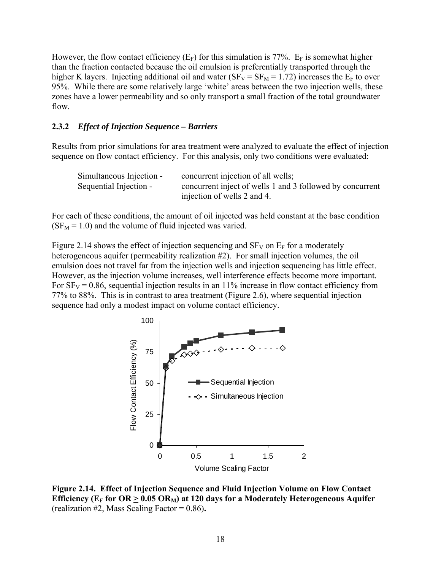However, the flow contact efficiency  $(E_F)$  for this simulation is 77%.  $E_F$  is somewhat higher than the fraction contacted because the oil emulsion is preferentially transported through the higher K layers. Injecting additional oil and water ( $SF_V = SF_M = 1.72$ ) increases the  $E_F$  to over 95%. While there are some relatively large 'white' areas between the two injection wells, these zones have a lower permeability and so only transport a small fraction of the total groundwater flow.

#### **2.3.2** *Effect of Injection Sequence – Barriers*

Results from prior simulations for area treatment were analyzed to evaluate the effect of injection sequence on flow contact efficiency. For this analysis, only two conditions were evaluated:

| Simultaneous Injection - | concurrent injection of all wells;                        |
|--------------------------|-----------------------------------------------------------|
| Sequential Injection -   | concurrent inject of wells 1 and 3 followed by concurrent |
|                          | injection of wells 2 and 4.                               |

For each of these conditions, the amount of oil injected was held constant at the base condition  $(SF<sub>M</sub> = 1.0)$  and the volume of fluid injected was varied.

Figure 2.14 shows the effect of injection sequencing and  $SF_V$  on  $E_F$  for a moderately heterogeneous aquifer (permeability realization #2). For small injection volumes, the oil emulsion does not travel far from the injection wells and injection sequencing has little effect. However, as the injection volume increases, well interference effects become more important. For  $SF_V = 0.86$ , sequential injection results in an 11% increase in flow contact efficiency from 77% to 88%. This is in contrast to area treatment (Figure 2.6), where sequential injection sequence had only a modest impact on volume contact efficiency.



**Figure 2.14. Effect of Injection Sequence and Fluid Injection Volume on Flow Contact**  Efficiency ( $E_F$  for  $OR \geq 0.05 \text{ OR}_M$ ) at 120 days for a Moderately Heterogeneous Aquifer (realization #2, Mass Scaling Factor = 0.86)**.**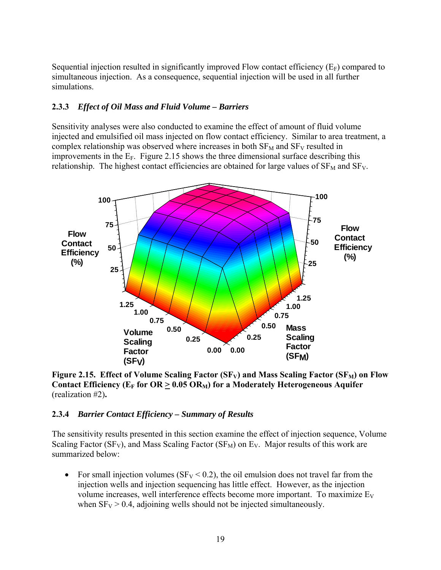Sequential injection resulted in significantly improved Flow contact efficiency  $(E_F)$  compared to simultaneous injection. As a consequence, sequential injection will be used in all further simulations.

## **2.3.3** *Effect of Oil Mass and Fluid Volume – Barriers*

Sensitivity analyses were also conducted to examine the effect of amount of fluid volume injected and emulsified oil mass injected on flow contact efficiency. Similar to area treatment, a complex relationship was observed where increases in both  $SF<sub>M</sub>$  and  $SF<sub>V</sub>$  resulted in improvements in the  $E_F$ . Figure 2.15 shows the three dimensional surface describing this relationship. The highest contact efficiencies are obtained for large values of  $SF<sub>M</sub>$  and  $SF<sub>V</sub>$ .



Figure 2.15. Effect of Volume Scaling Factor (SF<sub>V</sub>) and Mass Scaling Factor (SF<sub>M</sub>) on Flow Contact Efficiency ( $E_F$  for  $OR > 0.05$   $OR_M$ ) for a Moderately Heterogeneous Aquifer (realization #2)**.** 

## **2.3.4** *Barrier Contact Efficiency – Summary of Results*

The sensitivity results presented in this section examine the effect of injection sequence, Volume Scaling Factor (SF<sub>V</sub>), and Mass Scaling Factor (SF<sub>M</sub>) on E<sub>V</sub>. Major results of this work are summarized below:

• For small injection volumes ( $SF_V < 0.2$ ), the oil emulsion does not travel far from the injection wells and injection sequencing has little effect. However, as the injection volume increases, well interference effects become more important. To maximize  $E_V$ when  $SF_V > 0.4$ , adjoining wells should not be injected simultaneously.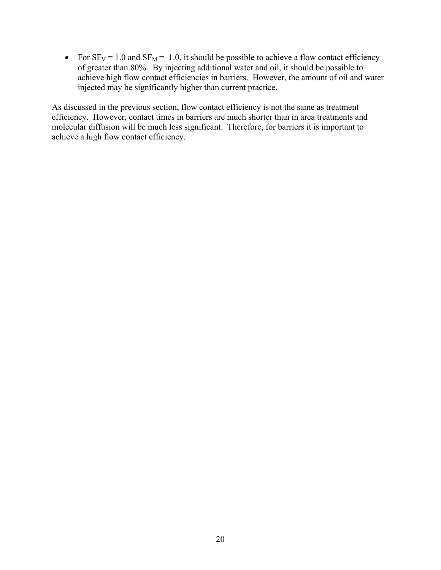• For  $SF_V = 1.0$  and  $SF_M = 1.0$ , it should be possible to achieve a flow contact efficiency of greater than 80%. By injecting additional water and oil, it should be possible to achieve high flow contact efficiencies in barriers. However, the amount of oil and water injected may be significantly higher than current practice.

As discussed in the previous section, flow contact efficiency is not the same as treatment efficiency. However, contact times in barriers are much shorter than in area treatments and molecular diffusion will be much less significant. Therefore, for barriers it is important to achieve a high flow contact efficiency.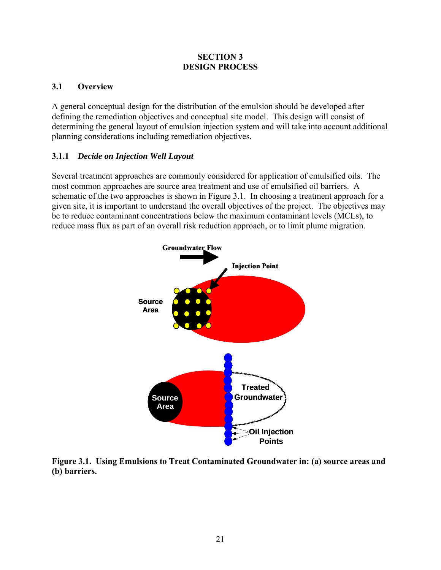#### **SECTION 3 DESIGN PROCESS**

## **3.1 Overview**

A general conceptual design for the distribution of the emulsion should be developed after defining the remediation objectives and conceptual site model. This design will consist of determining the general layout of emulsion injection system and will take into account additional planning considerations including remediation objectives.

## **3.1.1** *Decide on Injection Well Layout*

Several treatment approaches are commonly considered for application of emulsified oils. The most common approaches are source area treatment and use of emulsified oil barriers. A schematic of the two approaches is shown in Figure 3.1. In choosing a treatment approach for a given site, it is important to understand the overall objectives of the project. The objectives may be to reduce contaminant concentrations below the maximum contaminant levels (MCLs), to reduce mass flux as part of an overall risk reduction approach, or to limit plume migration.



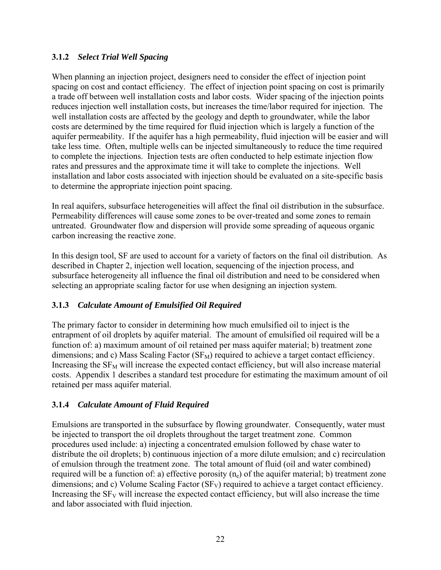## **3.1.2** *Select Trial Well Spacing*

When planning an injection project, designers need to consider the effect of injection point spacing on cost and contact efficiency. The effect of injection point spacing on cost is primarily a trade off between well installation costs and labor costs. Wider spacing of the injection points reduces injection well installation costs, but increases the time/labor required for injection. The well installation costs are affected by the geology and depth to groundwater, while the labor costs are determined by the time required for fluid injection which is largely a function of the aquifer permeability. If the aquifer has a high permeability, fluid injection will be easier and will take less time. Often, multiple wells can be injected simultaneously to reduce the time required to complete the injections. Injection tests are often conducted to help estimate injection flow rates and pressures and the approximate time it will take to complete the injections. Well installation and labor costs associated with injection should be evaluated on a site-specific basis to determine the appropriate injection point spacing.

In real aquifers, subsurface heterogeneities will affect the final oil distribution in the subsurface. Permeability differences will cause some zones to be over-treated and some zones to remain untreated. Groundwater flow and dispersion will provide some spreading of aqueous organic carbon increasing the reactive zone.

In this design tool, SF are used to account for a variety of factors on the final oil distribution. As described in Chapter 2, injection well location, sequencing of the injection process, and subsurface heterogeneity all influence the final oil distribution and need to be considered when selecting an appropriate scaling factor for use when designing an injection system.

## **3.1.3** *Calculate Amount of Emulsified Oil Required*

The primary factor to consider in determining how much emulsified oil to inject is the entrapment of oil droplets by aquifer material. The amount of emulsified oil required will be a function of: a) maximum amount of oil retained per mass aquifer material; b) treatment zone dimensions; and c) Mass Scaling Factor  $(SF_M)$  required to achieve a target contact efficiency. Increasing the  $SF_{M}$  will increase the expected contact efficiency, but will also increase material costs. Appendix 1 describes a standard test procedure for estimating the maximum amount of oil retained per mass aquifer material.

## **3.1.4** *Calculate Amount of Fluid Required*

Emulsions are transported in the subsurface by flowing groundwater. Consequently, water must be injected to transport the oil droplets throughout the target treatment zone. Common procedures used include: a) injecting a concentrated emulsion followed by chase water to distribute the oil droplets; b) continuous injection of a more dilute emulsion; and c) recirculation of emulsion through the treatment zone. The total amount of fluid (oil and water combined) required will be a function of: a) effective porosity  $(n_e)$  of the aquifer material; b) treatment zone dimensions; and c) Volume Scaling Factor  $(SF_V)$  required to achieve a target contact efficiency. Increasing the  $SF_V$  will increase the expected contact efficiency, but will also increase the time and labor associated with fluid injection.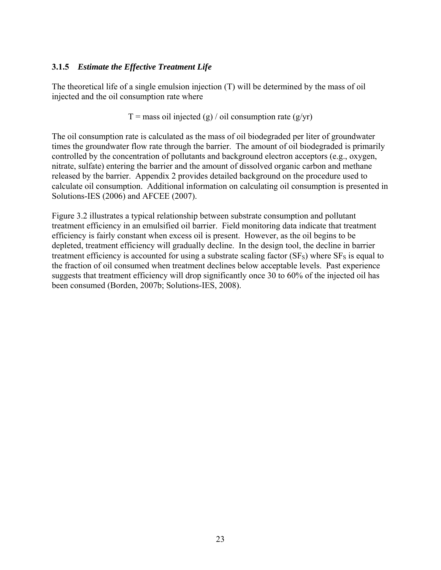## **3.1.5** *Estimate the Effective Treatment Life*

The theoretical life of a single emulsion injection (T) will be determined by the mass of oil injected and the oil consumption rate where

 $T =$  mass oil injected (g) / oil consumption rate (g/yr)

The oil consumption rate is calculated as the mass of oil biodegraded per liter of groundwater times the groundwater flow rate through the barrier. The amount of oil biodegraded is primarily controlled by the concentration of pollutants and background electron acceptors (e.g., oxygen, nitrate, sulfate) entering the barrier and the amount of dissolved organic carbon and methane released by the barrier. Appendix 2 provides detailed background on the procedure used to calculate oil consumption. Additional information on calculating oil consumption is presented in Solutions-IES (2006) and AFCEE (2007).

Figure 3.2 illustrates a typical relationship between substrate consumption and pollutant treatment efficiency in an emulsified oil barrier. Field monitoring data indicate that treatment efficiency is fairly constant when excess oil is present. However, as the oil begins to be depleted, treatment efficiency will gradually decline. In the design tool, the decline in barrier treatment efficiency is accounted for using a substrate scaling factor  $(SF<sub>S</sub>)$  where  $SF<sub>S</sub>$  is equal to the fraction of oil consumed when treatment declines below acceptable levels. Past experience suggests that treatment efficiency will drop significantly once 30 to 60% of the injected oil has been consumed (Borden, 2007b; Solutions-IES, 2008).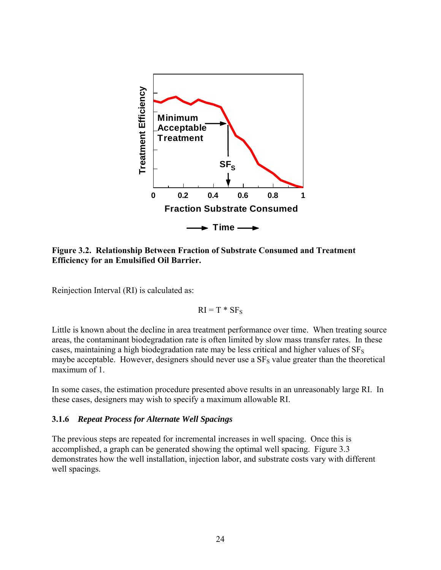

**Figure 3.2. Relationship Between Fraction of Substrate Consumed and Treatment Efficiency for an Emulsified Oil Barrier.** 

Reinjection Interval (RI) is calculated as:

$$
RI = T * SF_S
$$

Little is known about the decline in area treatment performance over time. When treating source areas, the contaminant biodegradation rate is often limited by slow mass transfer rates. In these cases, maintaining a high biodegradation rate may be less critical and higher values of  $SF<sub>S</sub>$ maybe acceptable. However, designers should never use a  $SF<sub>S</sub>$  value greater than the theoretical maximum of 1.

In some cases, the estimation procedure presented above results in an unreasonably large RI. In these cases, designers may wish to specify a maximum allowable RI.

#### **3.1.6** *Repeat Process for Alternate Well Spacings*

The previous steps are repeated for incremental increases in well spacing. Once this is accomplished, a graph can be generated showing the optimal well spacing. Figure 3.3 demonstrates how the well installation, injection labor, and substrate costs vary with different well spacings.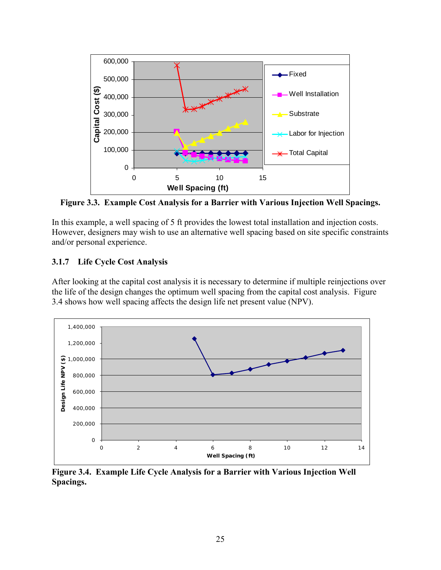

**Figure 3.3. Example Cost Analysis for a Barrier with Various Injection Well Spacings.** 

In this example, a well spacing of 5 ft provides the lowest total installation and injection costs. However, designers may wish to use an alternative well spacing based on site specific constraints and/or personal experience.

## **3.1.7 Life Cycle Cost Analysis**

After looking at the capital cost analysis it is necessary to determine if multiple reinjections over the life of the design changes the optimum well spacing from the capital cost analysis. Figure 3.4 shows how well spacing affects the design life net present value (NPV).



**Figure 3.4. Example Life Cycle Analysis for a Barrier with Various Injection Well Spacings.**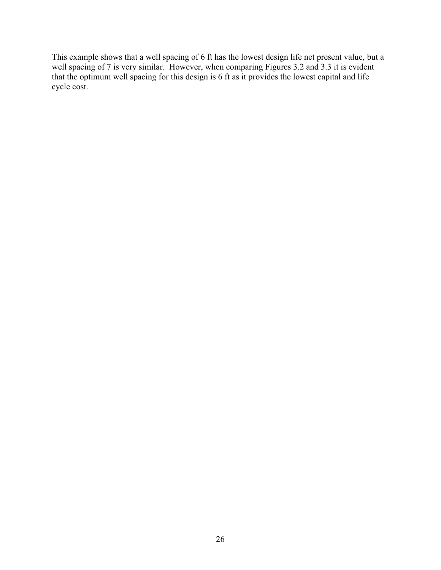This example shows that a well spacing of 6 ft has the lowest design life net present value, but a well spacing of 7 is very similar. However, when comparing Figures 3.2 and 3.3 it is evident that the optimum well spacing for this design is 6 ft as it provides the lowest capital and life cycle cost.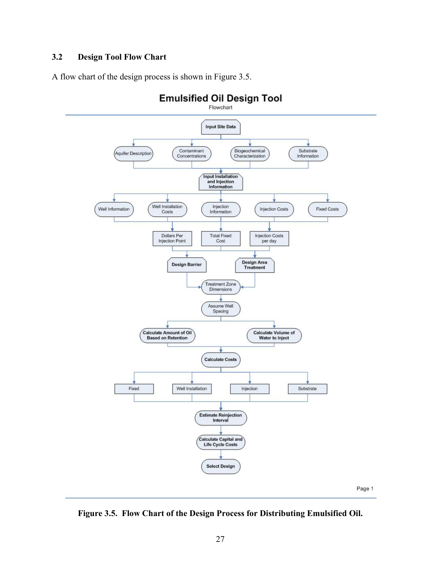## **3.2 Design Tool Flow Chart**

A flow chart of the design process is shown in Figure 3.5.



**Figure 3.5. Flow Chart of the Design Process for Distributing Emulsified Oil.**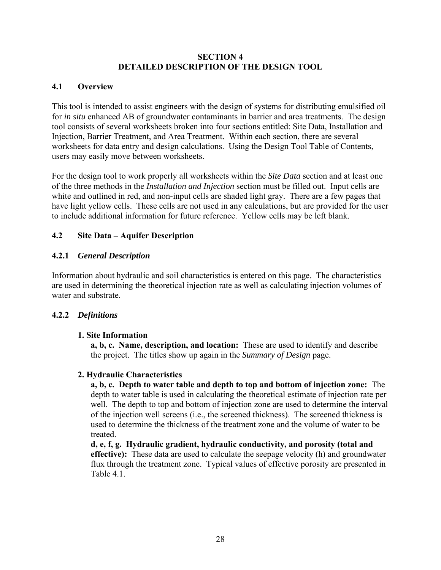#### **SECTION 4 DETAILED DESCRIPTION OF THE DESIGN TOOL**

## **4.1 Overview**

This tool is intended to assist engineers with the design of systems for distributing emulsified oil for *in situ* enhanced AB of groundwater contaminants in barrier and area treatments. The design tool consists of several worksheets broken into four sections entitled: Site Data, Installation and Injection, Barrier Treatment, and Area Treatment. Within each section, there are several worksheets for data entry and design calculations. Using the Design Tool Table of Contents, users may easily move between worksheets.

For the design tool to work properly all worksheets within the *Site Data* section and at least one of the three methods in the *Installation and Injection* section must be filled out. Input cells are white and outlined in red, and non-input cells are shaded light gray. There are a few pages that have light yellow cells. These cells are not used in any calculations, but are provided for the user to include additional information for future reference. Yellow cells may be left blank.

## **4.2 Site Data – Aquifer Description**

## **4.2.1** *General Description*

Information about hydraulic and soil characteristics is entered on this page. The characteristics are used in determining the theoretical injection rate as well as calculating injection volumes of water and substrate.

## **4.2.2** *Definitions*

## **1. Site Information**

**a, b, c. Name, description, and location:** These are used to identify and describe the project. The titles show up again in the *Summary of Design* page.

## **2. Hydraulic Characteristics**

**a, b, c. Depth to water table and depth to top and bottom of injection zone:** The depth to water table is used in calculating the theoretical estimate of injection rate per well. The depth to top and bottom of injection zone are used to determine the interval of the injection well screens (i.e., the screened thickness). The screened thickness is used to determine the thickness of the treatment zone and the volume of water to be treated.

**d, e, f, g. Hydraulic gradient, hydraulic conductivity, and porosity (total and effective):** These data are used to calculate the seepage velocity (h) and groundwater flux through the treatment zone. Typical values of effective porosity are presented in Table 4.1.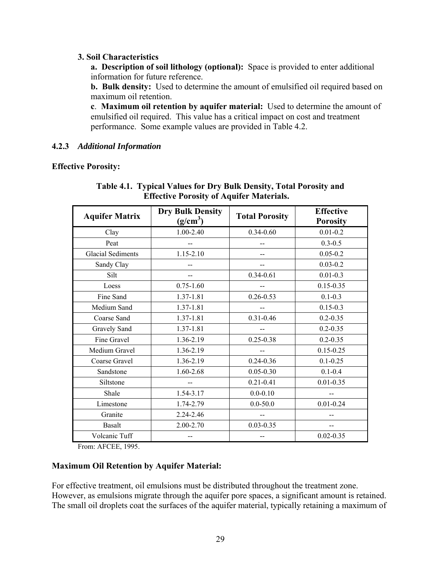#### **3. Soil Characteristics**

**a. Description of soil lithology (optional):** Space is provided to enter additional information for future reference.

**b. Bulk density:** Used to determine the amount of emulsified oil required based on maximum oil retention.

**c**. **Maximum oil retention by aquifer material:** Used to determine the amount of emulsified oil required. This value has a critical impact on cost and treatment performance. Some example values are provided in Table 4.2.

## **4.2.3** *Additional Information*

## **Effective Porosity:**

| <b>Aquifer Matrix</b>    | <b>Dry Bulk Density</b><br>$(g/cm^3)$ | <b>Total Porosity</b> | <b>Effective</b><br><b>Porosity</b> |
|--------------------------|---------------------------------------|-----------------------|-------------------------------------|
| Clay                     | 1.00-2.40                             | $0.34 - 0.60$         | $0.01 - 0.2$                        |
| Peat                     |                                       |                       | $0.3 - 0.5$                         |
| <b>Glacial Sediments</b> | 1.15-2.10                             |                       | $0.05 - 0.2$                        |
| Sandy Clay               |                                       |                       | $0.03 - 0.2$                        |
| Silt                     |                                       | $0.34 - 0.61$         | $0.01 - 0.3$                        |
| Loess                    | $0.75 - 1.60$                         |                       | $0.15 - 0.35$                       |
| Fine Sand                | 1.37-1.81                             | $0.26 - 0.53$         | $0.1 - 0.3$                         |
| Medium Sand              | 1.37-1.81                             |                       | $0.15 - 0.3$                        |
| Coarse Sand              | 1.37-1.81                             | $0.31 - 0.46$         | $0.2 - 0.35$                        |
| Gravely Sand             | 1.37-1.81                             |                       | $0.2 - 0.35$                        |
| Fine Gravel              | 1.36-2.19                             | $0.25 - 0.38$         | $0.2 - 0.35$                        |
| Medium Gravel            | 1.36-2.19                             |                       | $0.15 - 0.25$                       |
| Coarse Gravel            | 1.36-2.19                             | $0.24 - 0.36$         | $0.1 - 0.25$                        |
| Sandstone                | 1.60-2.68                             | $0.05 - 0.30$         | $0.1 - 0.4$                         |
| Siltstone                |                                       | $0.21 - 0.41$         | $0.01 - 0.35$                       |
| Shale                    | 1.54-3.17                             | $0.0 - 0.10$          |                                     |
| Limestone                | 1.74-2.79                             | $0.0 - 50.0$          | $0.01 - 0.24$                       |
| Granite                  | 2.24-2.46                             |                       |                                     |
| <b>Basalt</b>            | 2.00-2.70                             | $0.03 - 0.35$         |                                     |
| Volcanic Tuff            |                                       |                       | $0.02 - 0.35$                       |

**Table 4.1. Typical Values for Dry Bulk Density, Total Porosity and Effective Porosity of Aquifer Materials.** 

From: AFCEE, 1995.

## **Maximum Oil Retention by Aquifer Material:**

For effective treatment, oil emulsions must be distributed throughout the treatment zone. However, as emulsions migrate through the aquifer pore spaces, a significant amount is retained. The small oil droplets coat the surfaces of the aquifer material, typically retaining a maximum of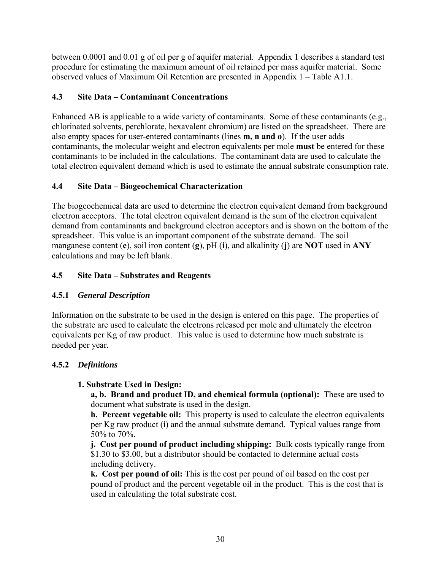between 0.0001 and 0.01 g of oil per g of aquifer material. Appendix 1 describes a standard test procedure for estimating the maximum amount of oil retained per mass aquifer material. Some observed values of Maximum Oil Retention are presented in Appendix 1 – Table A1.1.

# **4.3 Site Data – Contaminant Concentrations**

Enhanced AB is applicable to a wide variety of contaminants. Some of these contaminants (e.g., chlorinated solvents, perchlorate, hexavalent chromium) are listed on the spreadsheet. There are also empty spaces for user-entered contaminants (lines **m, n and o**). If the user adds contaminants, the molecular weight and electron equivalents per mole **must** be entered for these contaminants to be included in the calculations. The contaminant data are used to calculate the total electron equivalent demand which is used to estimate the annual substrate consumption rate.

# **4.4 Site Data – Biogeochemical Characterization**

The biogeochemical data are used to determine the electron equivalent demand from background electron acceptors. The total electron equivalent demand is the sum of the electron equivalent demand from contaminants and background electron acceptors and is shown on the bottom of the spreadsheet. This value is an important component of the substrate demand. The soil manganese content (**e**), soil iron content (**g**), pH (**i**), and alkalinity (**j**) are **NOT** used in **ANY** calculations and may be left blank.

# **4.5 Site Data – Substrates and Reagents**

## **4.5.1** *General Description*

Information on the substrate to be used in the design is entered on this page. The properties of the substrate are used to calculate the electrons released per mole and ultimately the electron equivalents per Kg of raw product. This value is used to determine how much substrate is needed per year.

## **4.5.2** *Definitions*

## **1. Substrate Used in Design:**

**a, b. Brand and product ID, and chemical formula (optional):** These are used to document what substrate is used in the design.

**h. Percent vegetable oil:** This property is used to calculate the electron equivalents per Kg raw product (**i**) and the annual substrate demand. Typical values range from 50% to 70%.

**j. Cost per pound of product including shipping:** Bulk costs typically range from \$1.30 to \$3.00, but a distributor should be contacted to determine actual costs including delivery.

**k. Cost per pound of oil:** This is the cost per pound of oil based on the cost per pound of product and the percent vegetable oil in the product. This is the cost that is used in calculating the total substrate cost.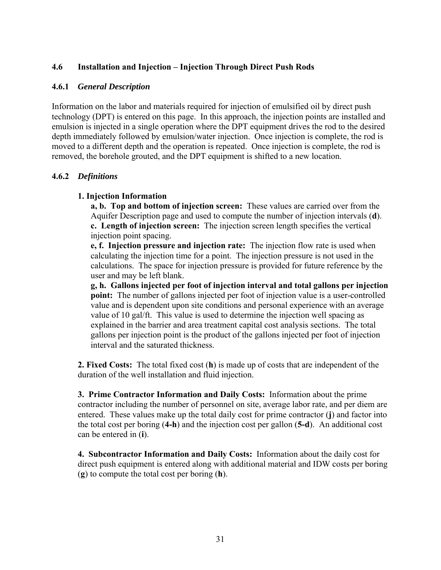## **4.6 Installation and Injection – Injection Through Direct Push Rods**

#### **4.6.1** *General Description*

Information on the labor and materials required for injection of emulsified oil by direct push technology (DPT) is entered on this page. In this approach, the injection points are installed and emulsion is injected in a single operation where the DPT equipment drives the rod to the desired depth immediately followed by emulsion/water injection. Once injection is complete, the rod is moved to a different depth and the operation is repeated. Once injection is complete, the rod is removed, the borehole grouted, and the DPT equipment is shifted to a new location.

## **4.6.2** *Definitions*

## **1. Injection Information**

**a, b. Top and bottom of injection screen:** These values are carried over from the Aquifer Description page and used to compute the number of injection intervals (**d**). **c. Length of injection screen:** The injection screen length specifies the vertical injection point spacing.

**e, f. Injection pressure and injection rate:** The injection flow rate is used when calculating the injection time for a point. The injection pressure is not used in the calculations. The space for injection pressure is provided for future reference by the user and may be left blank.

**g, h. Gallons injected per foot of injection interval and total gallons per injection point:** The number of gallons injected per foot of injection value is a user-controlled value and is dependent upon site conditions and personal experience with an average value of 10 gal/ft. This value is used to determine the injection well spacing as explained in the barrier and area treatment capital cost analysis sections. The total gallons per injection point is the product of the gallons injected per foot of injection interval and the saturated thickness.

**2. Fixed Costs:** The total fixed cost (**h**) is made up of costs that are independent of the duration of the well installation and fluid injection.

**3. Prime Contractor Information and Daily Costs:** Information about the prime contractor including the number of personnel on site, average labor rate, and per diem are entered. These values make up the total daily cost for prime contractor (**j**) and factor into the total cost per boring (**4-h**) and the injection cost per gallon (**5-d**). An additional cost can be entered in (**i**).

**4. Subcontractor Information and Daily Costs:** Information about the daily cost for direct push equipment is entered along with additional material and IDW costs per boring (**g**) to compute the total cost per boring (**h**).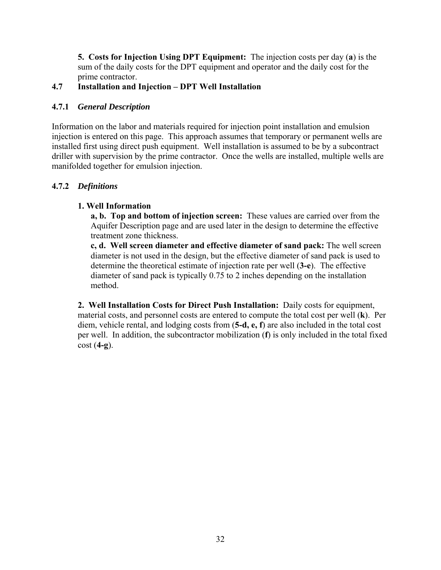**5. Costs for Injection Using DPT Equipment:** The injection costs per day (**a**) is the sum of the daily costs for the DPT equipment and operator and the daily cost for the prime contractor.

# **4.7 Installation and Injection – DPT Well Installation**

# **4.7.1** *General Description*

Information on the labor and materials required for injection point installation and emulsion injection is entered on this page. This approach assumes that temporary or permanent wells are installed first using direct push equipment. Well installation is assumed to be by a subcontract driller with supervision by the prime contractor. Once the wells are installed, multiple wells are manifolded together for emulsion injection.

# **4.7.2** *Definitions*

# **1. Well Information**

**a, b. Top and bottom of injection screen:** These values are carried over from the Aquifer Description page and are used later in the design to determine the effective treatment zone thickness.

**c, d. Well screen diameter and effective diameter of sand pack:** The well screen diameter is not used in the design, but the effective diameter of sand pack is used to determine the theoretical estimate of injection rate per well (**3-e**). The effective diameter of sand pack is typically 0.75 to 2 inches depending on the installation method.

**2. Well Installation Costs for Direct Push Installation:** Daily costs for equipment, material costs, and personnel costs are entered to compute the total cost per well (**k**). Per diem, vehicle rental, and lodging costs from (**5-d, e, f**) are also included in the total cost per well. In addition, the subcontractor mobilization (**f**) is only included in the total fixed cost (**4-g**).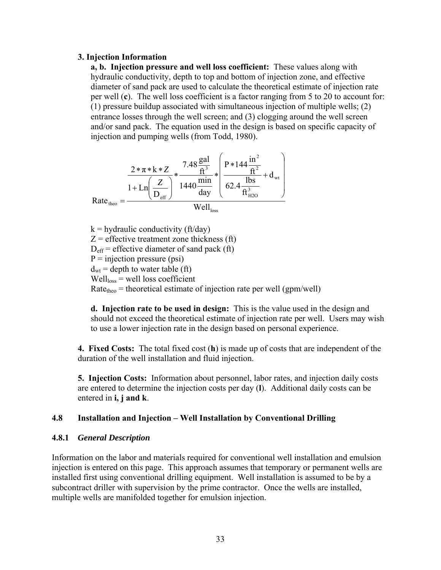#### **3. Injection Information**

**a, b. Injection pressure and well loss coefficient:** These values along with hydraulic conductivity, depth to top and bottom of injection zone, and effective diameter of sand pack are used to calculate the theoretical estimate of injection rate per well (**c**). The well loss coefficient is a factor ranging from 5 to 20 to account for: (1) pressure buildup associated with simultaneous injection of multiple wells; (2) entrance losses through the well screen; and (3) clogging around the well screen and/or sand pack. The equation used in the design is based on specific capacity of injection and pumping wells (from Todd, 1980).

$$
Rate_{\text{theo}} = \frac{\frac{2 * \pi * k * Z}{1 + Ln\left(\frac{Z}{D_{\text{eff}}}\right)} * \frac{7.48 \frac{\text{gal}}{\text{ft}^3}}{1440 \frac{\text{min}}{\text{day}}} * \left(\frac{P * 144 \frac{\text{in}^2}{\text{ft}^2}}{62.4 \frac{\text{lbs}}{\text{ft}^3_{\text{H2O}}}} + d_{\text{wt}}\right)}{\text{Well}_{\text{loss}}}
$$

 $k =$  hydraulic conductivity (ft/day)  $Z =$  effective treatment zone thickness (ft)  $D_{\text{eff}}$  = effective diameter of sand pack (ft)  $P =$  injection pressure (psi)  $d_{wt}$  = depth to water table (ft)  $Well<sub>loss</sub> = well loss coefficient$  $Rate<sub>theo</sub> = theoretical estimate of injection rate per well (gpm/well)$ 

**d. Injection rate to be used in design:** This is the value used in the design and should not exceed the theoretical estimate of injection rate per well. Users may wish to use a lower injection rate in the design based on personal experience.

**4. Fixed Costs:** The total fixed cost (**h**) is made up of costs that are independent of the duration of the well installation and fluid injection.

**5. Injection Costs:** Information about personnel, labor rates, and injection daily costs are entered to determine the injection costs per day (**l**). Additional daily costs can be entered in **i, j and k**.

## **4.8 Installation and Injection – Well Installation by Conventional Drilling**

#### **4.8.1** *General Description*

Information on the labor and materials required for conventional well installation and emulsion injection is entered on this page. This approach assumes that temporary or permanent wells are installed first using conventional drilling equipment. Well installation is assumed to be by a subcontract driller with supervision by the prime contractor. Once the wells are installed, multiple wells are manifolded together for emulsion injection.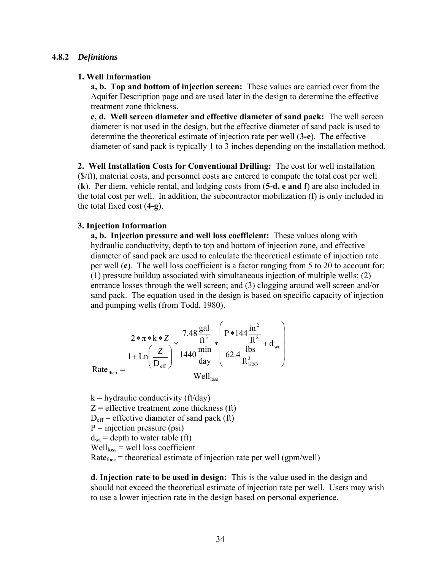#### **4.8.2** *Definitions*

#### **1. Well Information**

**a, b. Top and bottom of injection screen:** These values are carried over from the Aquifer Description page and are used later in the design to determine the effective treatment zone thickness.

**c, d. Well screen diameter and effective diameter of sand pack:** The well screen diameter is not used in the design, but the effective diameter of sand pack is used to determine the theoretical estimate of injection rate per well (**3-e**). The effective diameter of sand pack is typically 1 to 3 inches depending on the installation method.

**2. Well Installation Costs for Conventional Drilling:** The cost for well installation (\$/ft), material costs, and personnel costs are entered to compute the total cost per well (**k**). Per diem, vehicle rental, and lodging costs from (**5-d, e and f**) are also included in the total cost per well. In addition, the subcontractor mobilization (**f**) is only included in the total fixed cost (**4-g**).

#### **3. Injection Information**

**a, b. Injection pressure and well loss coefficient:** These values along with hydraulic conductivity, depth to top and bottom of injection zone, and effective diameter of sand pack are used to calculate the theoretical estimate of injection rate per well (**c**). The well loss coefficient is a factor ranging from 5 to 20 to account for: (1) pressure buildup associated with simultaneous injection of multiple wells; (2) entrance losses through the well screen; and (3) clogging around well screen and/or sand pack. The equation used in the design is based on specific capacity of injection and pumping wells (from Todd, 1980).

$$
Rate_{\text{theo}} = \frac{\frac{2 * \pi * k * Z}{1 + Ln\left(\frac{Z}{D_{\text{eff}}}\right)} * \frac{7.48 \frac{\text{gal}}{\text{ft}^3}}{1440 \frac{\text{min}}{\text{day}}} * \left(\frac{P * 144 \frac{\text{in}^2}{\text{ft}^2}}{62.4 \frac{\text{lbs}}{\text{ft}^3_{\text{H2O}}}} + d_{\text{wt}}\right)}{\text{Well}_{\text{loss}}}
$$

 $k =$  hydraulic conductivity (ft/day)

 $Z =$  effective treatment zone thickness (ft)

- $D_{\text{eff}}$  = effective diameter of sand pack (ft)
- $P =$  injection pressure (psi)
- $d_{wt}$  = depth to water table (ft)

 $Well_{loss} = well loss coefficient$ 

 $Rate<sub>theo</sub> = theoretical estimate of injection rate per well (gpm/well)$ 

**d. Injection rate to be used in design:** This is the value used in the design and should not exceed the theoretical estimate of injection rate per well. Users may wish to use a lower injection rate in the design based on personal experience.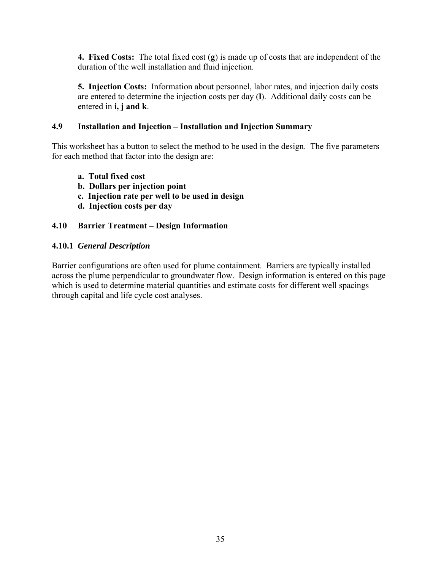**4. Fixed Costs:** The total fixed cost (**g**) is made up of costs that are independent of the duration of the well installation and fluid injection.

**5. Injection Costs:** Information about personnel, labor rates, and injection daily costs are entered to determine the injection costs per day (**l**). Additional daily costs can be entered in **i, j and k**.

## **4.9 Installation and Injection – Installation and Injection Summary**

This worksheet has a button to select the method to be used in the design. The five parameters for each method that factor into the design are:

- **a. Total fixed cost**
- **b. Dollars per injection point**
- **c. Injection rate per well to be used in design**
- **d. Injection costs per day**

# **4.10 Barrier Treatment – Design Information**

# **4.10.1** *General Description*

Barrier configurations are often used for plume containment. Barriers are typically installed across the plume perpendicular to groundwater flow. Design information is entered on this page which is used to determine material quantities and estimate costs for different well spacings through capital and life cycle cost analyses.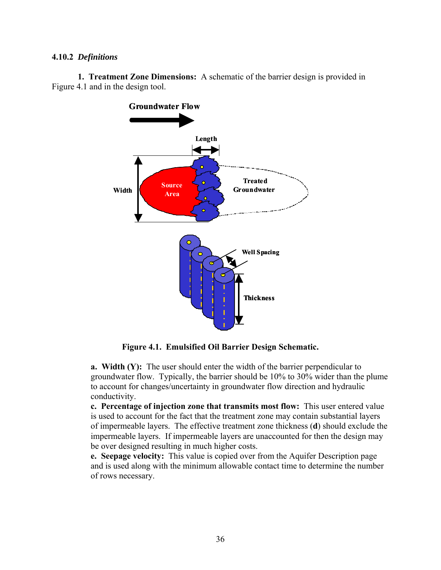#### **4.10.2** *Definitions*

 **1. Treatment Zone Dimensions:** A schematic of the barrier design is provided in Figure 4.1 and in the design tool.



**Figure 4.1. Emulsified Oil Barrier Design Schematic.** 

**a. Width (Y):** The user should enter the width of the barrier perpendicular to groundwater flow. Typically, the barrier should be 10% to 30% wider than the plume to account for changes/uncertainty in groundwater flow direction and hydraulic conductivity.

**c. Percentage of injection zone that transmits most flow:** This user entered value is used to account for the fact that the treatment zone may contain substantial layers of impermeable layers. The effective treatment zone thickness (**d**) should exclude the impermeable layers. If impermeable layers are unaccounted for then the design may be over designed resulting in much higher costs.

**e. Seepage velocity:** This value is copied over from the Aquifer Description page and is used along with the minimum allowable contact time to determine the number of rows necessary.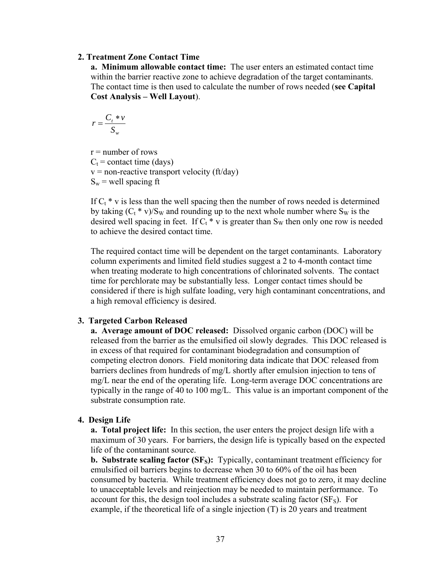#### **2. Treatment Zone Contact Time**

**a. Minimum allowable contact time:** The user enters an estimated contact time within the barrier reactive zone to achieve degradation of the target contaminants. The contact time is then used to calculate the number of rows needed (**see Capital Cost Analysis – Well Layout**).

$$
r = \frac{C_t * v}{S_w}
$$

 $r =$  number of rows  $C_t$  = contact time (days)  $v =$  non-reactive transport velocity (ft/day)  $S_w$  = well spacing ft

If  $C_t * v$  is less than the well spacing then the number of rows needed is determined by taking  $(C_t * v)/S_W$  and rounding up to the next whole number where  $S_W$  is the desired well spacing in feet. If  $C_t * v$  is greater than S<sub>W</sub> then only one row is needed to achieve the desired contact time.

The required contact time will be dependent on the target contaminants. Laboratory column experiments and limited field studies suggest a 2 to 4-month contact time when treating moderate to high concentrations of chlorinated solvents. The contact time for perchlorate may be substantially less. Longer contact times should be considered if there is high sulfate loading, very high contaminant concentrations, and a high removal efficiency is desired.

#### **3. Targeted Carbon Released**

**a. Average amount of DOC released:** Dissolved organic carbon (DOC) will be released from the barrier as the emulsified oil slowly degrades. This DOC released is in excess of that required for contaminant biodegradation and consumption of competing electron donors. Field monitoring data indicate that DOC released from barriers declines from hundreds of mg/L shortly after emulsion injection to tens of mg/L near the end of the operating life. Long-term average DOC concentrations are typically in the range of 40 to 100 mg/L. This value is an important component of the substrate consumption rate.

#### **4. Design Life**

**a. Total project life:** In this section, the user enters the project design life with a maximum of 30 years. For barriers, the design life is typically based on the expected life of the contaminant source.

**b. Substrate scaling factor (SF<sub>S</sub>):** Typically, contaminant treatment efficiency for emulsified oil barriers begins to decrease when 30 to 60% of the oil has been consumed by bacteria. While treatment efficiency does not go to zero, it may decline to unacceptable levels and reinjection may be needed to maintain performance. To account for this, the design tool includes a substrate scaling factor  $(SF<sub>S</sub>)$ . For example, if the theoretical life of a single injection (T) is 20 years and treatment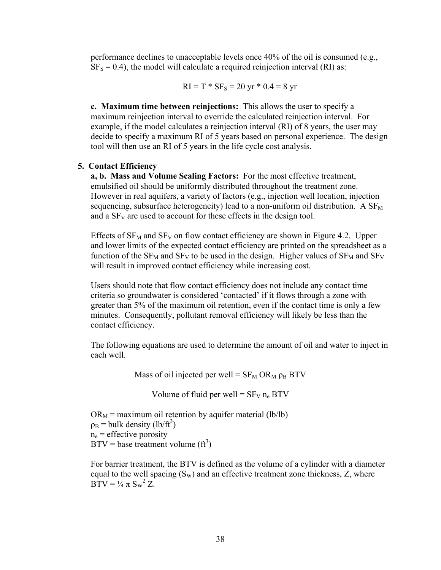performance declines to unacceptable levels once 40% of the oil is consumed (e.g.,  $SF<sub>S</sub> = 0.4$ ), the model will calculate a required reinjection interval (RI) as:

$$
RI = T * SF_S = 20 yr * 0.4 = 8 yr
$$

**c. Maximum time between reinjections:** This allows the user to specify a maximum reinjection interval to override the calculated reinjection interval. For example, if the model calculates a reinjection interval (RI) of 8 years, the user may decide to specify a maximum RI of 5 years based on personal experience. The design tool will then use an RI of 5 years in the life cycle cost analysis.

#### **5. Contact Efficiency**

**a, b. Mass and Volume Scaling Factors:** For the most effective treatment, emulsified oil should be uniformly distributed throughout the treatment zone. However in real aquifers, a variety of factors (e.g., injection well location, injection sequencing, subsurface heterogeneity) lead to a non-uniform oil distribution. A  $SF_{M}$ and a  $SF<sub>V</sub>$  are used to account for these effects in the design tool.

Effects of  $SF_{M}$  and  $SF_{V}$  on flow contact efficiency are shown in Figure 4.2. Upper and lower limits of the expected contact efficiency are printed on the spreadsheet as a function of the  $SF_M$  and  $SF_V$  to be used in the design. Higher values of  $SF_M$  and  $SF_V$ will result in improved contact efficiency while increasing cost.

Users should note that flow contact efficiency does not include any contact time criteria so groundwater is considered 'contacted' if it flows through a zone with greater than 5% of the maximum oil retention, even if the contact time is only a few minutes. Consequently, pollutant removal efficiency will likely be less than the contact efficiency.

The following equations are used to determine the amount of oil and water to inject in each well.

Mass of oil injected per well =  $SF_{M}$  OR<sub>M</sub>  $\rho_B$  BTV

Volume of fluid per well =  $SF<sub>V</sub>$  n<sub>e</sub> BTV

 $OR_M$  = maximum oil retention by aquifer material (lb/lb)  $p_B$  = bulk density (lb/ft<sup>3</sup>)  $n_e$  = effective porosity  $BTV =$  base treatment volume (ft<sup>3</sup>)

For barrier treatment, the BTV is defined as the volume of a cylinder with a diameter equal to the well spacing  $(S_W)$  and an effective treatment zone thickness, Z, where  $\overline{B} \overline{T} V = \frac{1}{4} \pi S_w^2 Z$ .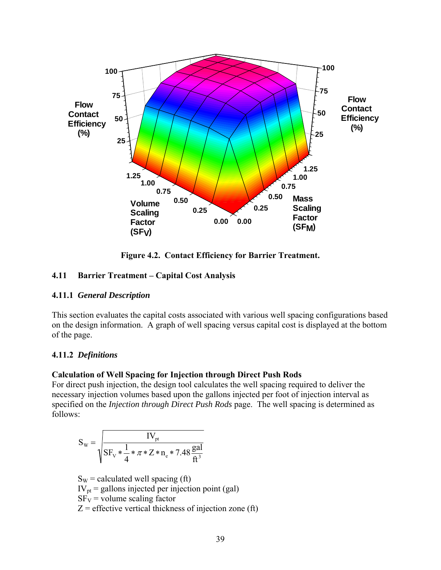

**Figure 4.2. Contact Efficiency for Barrier Treatment.** 

## **4.11 Barrier Treatment – Capital Cost Analysis**

#### **4.11.1** *General Description*

This section evaluates the capital costs associated with various well spacing configurations based on the design information. A graph of well spacing versus capital cost is displayed at the bottom of the page.

#### **4.11.2** *Definitions*

#### **Calculation of Well Spacing for Injection through Direct Push Rods**

For direct push injection, the design tool calculates the well spacing required to deliver the necessary injection volumes based upon the gallons injected per foot of injection interval as specified on the *Injection through Direct Push Rods* page. The well spacing is determined as follows:

$$
S_{w} = \sqrt{\frac{IV_{pt}}{SF_{v} * \frac{1}{4} * \pi * Z * n_{e} * 7.48 \frac{gal}{ft^{3}}}}
$$

 $S_W$  = calculated well spacing (ft)  $IV<sub>pt</sub>$  = gallons injected per injection point (gal)  $SF_V$  = volume scaling factor  $Z =$  effective vertical thickness of injection zone (ft)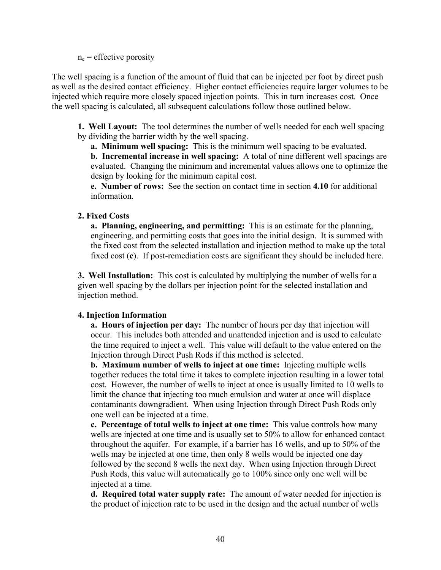$n_e$  = effective porosity

The well spacing is a function of the amount of fluid that can be injected per foot by direct push as well as the desired contact efficiency. Higher contact efficiencies require larger volumes to be injected which require more closely spaced injection points. This in turn increases cost. Once the well spacing is calculated, all subsequent calculations follow those outlined below.

 **1. Well Layout:** The tool determines the number of wells needed for each well spacing by dividing the barrier width by the well spacing.

**a. Minimum well spacing:** This is the minimum well spacing to be evaluated.

**b. Incremental increase in well spacing:** A total of nine different well spacings are evaluated. Changing the minimum and incremental values allows one to optimize the design by looking for the minimum capital cost.

**e. Number of rows:** See the section on contact time in section **4.10** for additional information.

#### **2. Fixed Costs**

**a. Planning, engineering, and permitting:** This is an estimate for the planning, engineering, and permitting costs that goes into the initial design. It is summed with the fixed cost from the selected installation and injection method to make up the total fixed cost (**c**). If post-remediation costs are significant they should be included here.

**3. Well Installation:** This cost is calculated by multiplying the number of wells for a given well spacing by the dollars per injection point for the selected installation and injection method.

## **4. Injection Information**

**a. Hours of injection per day:** The number of hours per day that injection will occur. This includes both attended and unattended injection and is used to calculate the time required to inject a well. This value will default to the value entered on the Injection through Direct Push Rods if this method is selected.

**b. Maximum number of wells to inject at one time:** Injecting multiple wells together reduces the total time it takes to complete injection resulting in a lower total cost. However, the number of wells to inject at once is usually limited to 10 wells to limit the chance that injecting too much emulsion and water at once will displace contaminants downgradient. When using Injection through Direct Push Rods only one well can be injected at a time.

**c. Percentage of total wells to inject at one time:** This value controls how many wells are injected at one time and is usually set to 50% to allow for enhanced contact throughout the aquifer. For example, if a barrier has 16 wells, and up to 50% of the wells may be injected at one time, then only 8 wells would be injected one day followed by the second 8 wells the next day. When using Injection through Direct Push Rods, this value will automatically go to 100% since only one well will be injected at a time.

**d. Required total water supply rate:** The amount of water needed for injection is the product of injection rate to be used in the design and the actual number of wells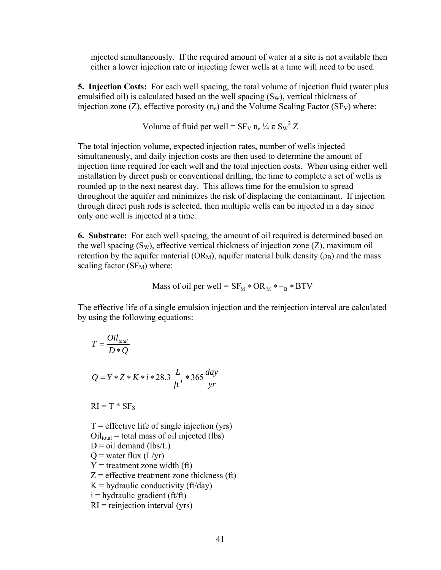injected simultaneously. If the required amount of water at a site is not available then either a lower injection rate or injecting fewer wells at a time will need to be used.

**5. Injection Costs:** For each well spacing, the total volume of injection fluid (water plus emulsified oil) is calculated based on the well spacing  $(S_w)$ , vertical thickness of injection zone (Z), effective porosity  $(n_e)$  and the Volume Scaling Factor (SF<sub>V</sub>) where:

Volume of fluid per well =  $SF_V n_e \frac{1}{4} \pi S_W^2 Z$ 

The total injection volume, expected injection rates, number of wells injected simultaneously, and daily injection costs are then used to determine the amount of injection time required for each well and the total injection costs. When using either well installation by direct push or conventional drilling, the time to complete a set of wells is rounded up to the next nearest day. This allows time for the emulsion to spread throughout the aquifer and minimizes the risk of displacing the contaminant. If injection through direct push rods is selected, then multiple wells can be injected in a day since only one well is injected at a time.

**6. Substrate:** For each well spacing, the amount of oil required is determined based on the well spacing  $(S_W)$ , effective vertical thickness of injection zone  $(Z)$ , maximum oil retention by the aquifer material ( $OR_M$ ), aquifer material bulk density ( $\rho_B$ ) and the mass scaling factor  $(SF_M)$  where:

Mass of oil per well = 
$$
SF_M * OR_M *_{B} * BTV
$$

The effective life of a single emulsion injection and the reinjection interval are calculated by using the following equations:

$$
T = \frac{Oil_{\text{total}}}{D * Q}
$$
  

$$
Q = Y * Z * K * i * 28.3 \frac{L}{ft^3} * 365 \frac{day}{yr}
$$

 $RI = T * SF<sub>S</sub>$ 

 $T =$  effective life of single injection (yrs)  $Oil_{total}$  = total mass of oil injected (lbs)  $D = oil$  demand (lbs/L)  $Q$  = water flux  $(L/vr)$  $Y =$  treatment zone width (ft)  $Z =$  effective treatment zone thickness (ft)  $K =$  hydraulic conductivity (ft/day)  $i =$ hydraulic gradient (ft/ft)  $RI =$  reinjection interval (yrs)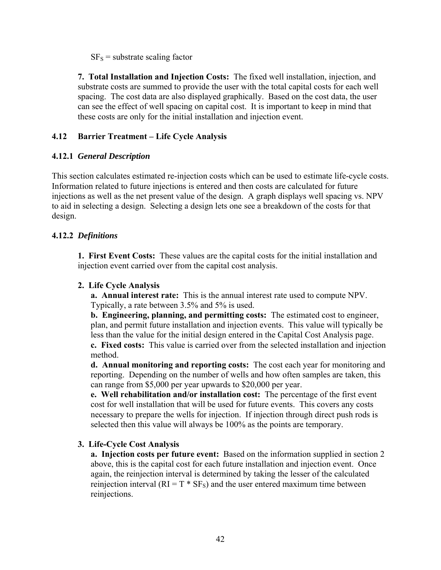$SF<sub>S</sub>$  = substrate scaling factor

**7. Total Installation and Injection Costs:** The fixed well installation, injection, and substrate costs are summed to provide the user with the total capital costs for each well spacing. The cost data are also displayed graphically. Based on the cost data, the user can see the effect of well spacing on capital cost. It is important to keep in mind that these costs are only for the initial installation and injection event.

#### **4.12 Barrier Treatment – Life Cycle Analysis**

#### **4.12.1** *General Description*

This section calculates estimated re-injection costs which can be used to estimate life-cycle costs. Information related to future injections is entered and then costs are calculated for future injections as well as the net present value of the design. A graph displays well spacing vs. NPV to aid in selecting a design. Selecting a design lets one see a breakdown of the costs for that design.

#### **4.12.2** *Definitions*

**1. First Event Costs:** These values are the capital costs for the initial installation and injection event carried over from the capital cost analysis.

#### **2. Life Cycle Analysis**

**a. Annual interest rate:** This is the annual interest rate used to compute NPV. Typically, a rate between 3.5% and 5% is used.

**b. Engineering, planning, and permitting costs:** The estimated cost to engineer, plan, and permit future installation and injection events. This value will typically be less than the value for the initial design entered in the Capital Cost Analysis page.

**c. Fixed costs:** This value is carried over from the selected installation and injection method.

**d. Annual monitoring and reporting costs:** The cost each year for monitoring and reporting. Depending on the number of wells and how often samples are taken, this can range from \$5,000 per year upwards to \$20,000 per year.

**e. Well rehabilitation and/or installation cost:** The percentage of the first event cost for well installation that will be used for future events. This covers any costs necessary to prepare the wells for injection. If injection through direct push rods is selected then this value will always be 100% as the points are temporary.

#### **3. Life-Cycle Cost Analysis**

**a. Injection costs per future event:** Based on the information supplied in section 2 above, this is the capital cost for each future installation and injection event. Once again, the reinjection interval is determined by taking the lesser of the calculated reinjection interval  $(RI = T * SF_s)$  and the user entered maximum time between reinjections.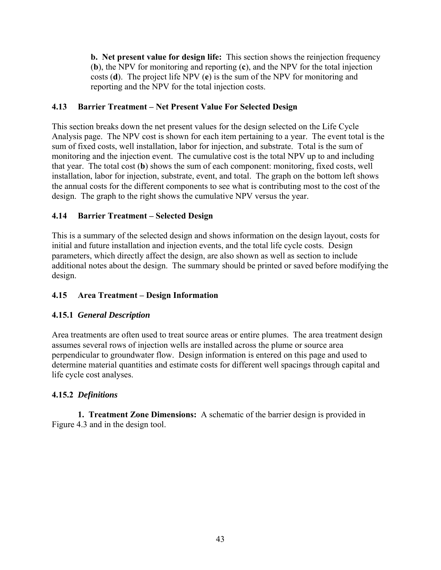**b. Net present value for design life:** This section shows the reinjection frequency (**b**), the NPV for monitoring and reporting (**c**), and the NPV for the total injection costs (**d**). The project life NPV (**e**) is the sum of the NPV for monitoring and reporting and the NPV for the total injection costs.

# **4.13 Barrier Treatment – Net Present Value For Selected Design**

This section breaks down the net present values for the design selected on the Life Cycle Analysis page. The NPV cost is shown for each item pertaining to a year. The event total is the sum of fixed costs, well installation, labor for injection, and substrate. Total is the sum of monitoring and the injection event. The cumulative cost is the total NPV up to and including that year. The total cost (**b**) shows the sum of each component: monitoring, fixed costs, well installation, labor for injection, substrate, event, and total. The graph on the bottom left shows the annual costs for the different components to see what is contributing most to the cost of the design. The graph to the right shows the cumulative NPV versus the year.

# **4.14 Barrier Treatment – Selected Design**

This is a summary of the selected design and shows information on the design layout, costs for initial and future installation and injection events, and the total life cycle costs. Design parameters, which directly affect the design, are also shown as well as section to include additional notes about the design. The summary should be printed or saved before modifying the design.

# **4.15 Area Treatment – Design Information**

## **4.15.1** *General Description*

Area treatments are often used to treat source areas or entire plumes. The area treatment design assumes several rows of injection wells are installed across the plume or source area perpendicular to groundwater flow. Design information is entered on this page and used to determine material quantities and estimate costs for different well spacings through capital and life cycle cost analyses.

## **4.15.2** *Definitions*

 **1. Treatment Zone Dimensions:** A schematic of the barrier design is provided in Figure 4.3 and in the design tool.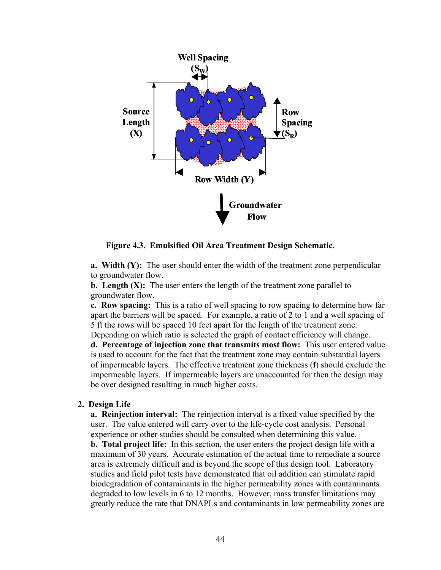

**Figure 4.3. Emulsified Oil Area Treatment Design Schematic.** 

**a. Width (Y):** The user should enter the width of the treatment zone perpendicular to groundwater flow.

**b.** Length (X): The user enters the length of the treatment zone parallel to groundwater flow.

**c. Row spacing:** This is a ratio of well spacing to row spacing to determine how far apart the barriers will be spaced. For example, a ratio of 2 to 1 and a well spacing of 5 ft the rows will be spaced 10 feet apart for the length of the treatment zone.

Depending on which ratio is selected the graph of contact efficiency will change. **d. Percentage of injection zone that transmits most flow:** This user entered value is used to account for the fact that the treatment zone may contain substantial layers of impermeable layers. The effective treatment zone thickness (**f**) should exclude the impermeable layers. If impermeable layers are unaccounted for then the design may be over designed resulting in much higher costs.

#### **2. Design Life**

**a. Reinjection interval:** The reinjection interval is a fixed value specified by the user. The value entered will carry over to the life-cycle cost analysis. Personal experience or other studies should be consulted when determining this value.

**b. Total project life:** In this section, the user enters the project design life with a maximum of 30 years. Accurate estimation of the actual time to remediate a source area is extremely difficult and is beyond the scope of this design tool. Laboratory studies and field pilot tests have demonstrated that oil addition can stimulate rapid biodegradation of contaminants in the higher permeability zones with contaminants degraded to low levels in 6 to 12 months. However, mass transfer limitations may greatly reduce the rate that DNAPLs and contaminants in low permeability zones are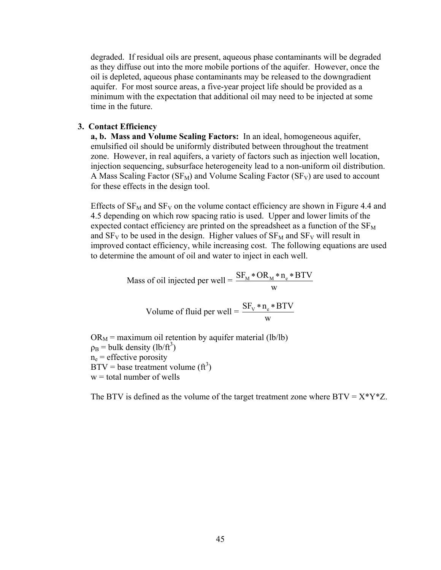degraded. If residual oils are present, aqueous phase contaminants will be degraded as they diffuse out into the more mobile portions of the aquifer. However, once the oil is depleted, aqueous phase contaminants may be released to the downgradient aquifer. For most source areas, a five-year project life should be provided as a minimum with the expectation that additional oil may need to be injected at some time in the future.

#### **3. Contact Efficiency**

**a, b. Mass and Volume Scaling Factors:** In an ideal, homogeneous aquifer, emulsified oil should be uniformly distributed between throughout the treatment zone. However, in real aquifers, a variety of factors such as injection well location, injection sequencing, subsurface heterogeneity lead to a non-uniform oil distribution. A Mass Scaling Factor ( $SF_M$ ) and Volume Scaling Factor ( $SF_V$ ) are used to account for these effects in the design tool.

Effects of  $SF_{M}$  and  $SF_{V}$  on the volume contact efficiency are shown in Figure 4.4 and 4.5 depending on which row spacing ratio is used. Upper and lower limits of the expected contact efficiency are printed on the spreadsheet as a function of the  $SF<sub>M</sub>$ and  $SF_V$  to be used in the design. Higher values of  $SF_M$  and  $SF_V$  will result in improved contact efficiency, while increasing cost. The following equations are used to determine the amount of oil and water to inject in each well.

Mass of oil injected per well = 
$$
\frac{SF_{M} * OR_{M} * n_{e} * BTV}{w}
$$

Volume of fluid per well = 
$$
\frac{SF_v * n_e * BTV}{w}
$$

 $OR_M$  = maximum oil retention by aquifer material (lb/lb)  $p_B$  = bulk density (lb/ft<sup>3</sup>)  $n_e$  = effective porosity  $BTV =$  base treatment volume (ft<sup>3</sup>)  $w =$  total number of wells

The BTV is defined as the volume of the target treatment zone where  $BTV = X^*Y^*Z$ .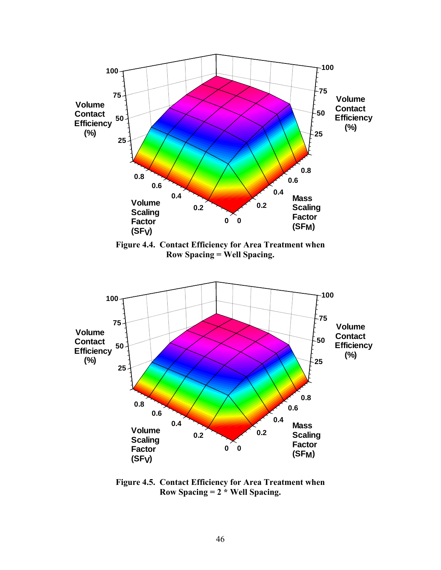

**Figure 4.5. Contact Efficiency for Area Treatment when Row Spacing = 2 \* Well Spacing.**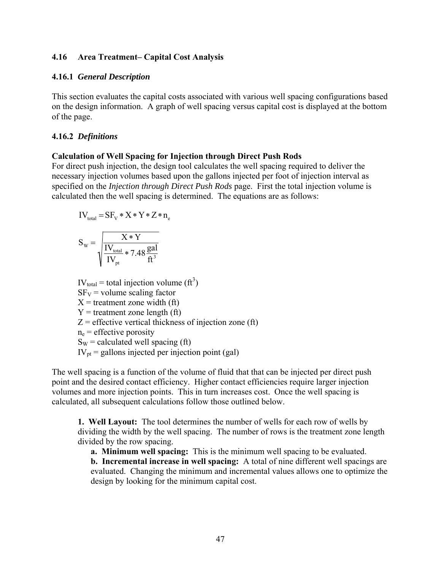#### **4.16 Area Treatment– Capital Cost Analysis**

#### **4.16.1** *General Description*

This section evaluates the capital costs associated with various well spacing configurations based on the design information. A graph of well spacing versus capital cost is displayed at the bottom of the page.

#### **4.16.2** *Definitions*

#### **Calculation of Well Spacing for Injection through Direct Push Rods**

For direct push injection, the design tool calculates the well spacing required to deliver the necessary injection volumes based upon the gallons injected per foot of injection interval as specified on the *Injection through Direct Push Rods* page. First the total injection volume is calculated then the well spacing is determined. The equations are as follows:

$$
IV_{total} = SF_V * X * Y * Z * n_e
$$

$$
S_{\rm w} = \sqrt{\frac{X*Y}{IV_{\rm total} \times 7.48 \frac{\text{gal}}{\text{ft}^3}}}
$$

 $IV_{total} =$  total injection volume (ft<sup>3</sup>)  $SF_V$  = volume scaling factor  $X =$  treatment zone width (ft)  $Y =$  treatment zone length (ft)  $Z =$  effective vertical thickness of injection zone (ft)  $n_e$  = effective porosity  $S_W$  = calculated well spacing (ft)  $IV<sub>pt</sub>$  = gallons injected per injection point (gal)

The well spacing is a function of the volume of fluid that that can be injected per direct push point and the desired contact efficiency. Higher contact efficiencies require larger injection volumes and more injection points. This in turn increases cost. Once the well spacing is calculated, all subsequent calculations follow those outlined below.

**1. Well Layout:** The tool determines the number of wells for each row of wells by dividing the width by the well spacing. The number of rows is the treatment zone length divided by the row spacing.

**a. Minimum well spacing:** This is the minimum well spacing to be evaluated.

**b. Incremental increase in well spacing:** A total of nine different well spacings are evaluated. Changing the minimum and incremental values allows one to optimize the design by looking for the minimum capital cost.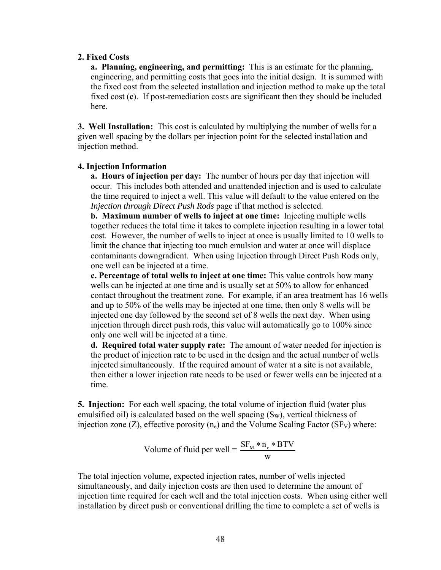#### **2. Fixed Costs**

**a. Planning, engineering, and permitting:** This is an estimate for the planning, engineering, and permitting costs that goes into the initial design. It is summed with the fixed cost from the selected installation and injection method to make up the total fixed cost (**c**). If post-remediation costs are significant then they should be included here.

**3. Well Installation:** This cost is calculated by multiplying the number of wells for a given well spacing by the dollars per injection point for the selected installation and injection method.

#### **4. Injection Information**

**a. Hours of injection per day:** The number of hours per day that injection will occur. This includes both attended and unattended injection and is used to calculate the time required to inject a well. This value will default to the value entered on the *Injection through Direct Push Rods* page if that method is selected.

**b. Maximum number of wells to inject at one time:** Injecting multiple wells together reduces the total time it takes to complete injection resulting in a lower total cost. However, the number of wells to inject at once is usually limited to 10 wells to limit the chance that injecting too much emulsion and water at once will displace contaminants downgradient. When using Injection through Direct Push Rods only, one well can be injected at a time.

**c. Percentage of total wells to inject at one time:** This value controls how many wells can be injected at one time and is usually set at 50% to allow for enhanced contact throughout the treatment zone. For example, if an area treatment has 16 wells and up to 50% of the wells may be injected at one time, then only 8 wells will be injected one day followed by the second set of 8 wells the next day. When using injection through direct push rods, this value will automatically go to 100% since only one well will be injected at a time.

**d. Required total water supply rate:** The amount of water needed for injection is the product of injection rate to be used in the design and the actual number of wells injected simultaneously. If the required amount of water at a site is not available, then either a lower injection rate needs to be used or fewer wells can be injected at a time.

**5. Injection:** For each well spacing, the total volume of injection fluid (water plus emulsified oil) is calculated based on the well spacing  $(S_W)$ , vertical thickness of injection zone (Z), effective porosity  $(n_e)$  and the Volume Scaling Factor (SF<sub>V</sub>) where:

Volume of fluid per well = 
$$
\frac{SF_{M} * n_{e} * BTV}{w}
$$

The total injection volume, expected injection rates, number of wells injected simultaneously, and daily injection costs are then used to determine the amount of injection time required for each well and the total injection costs. When using either well installation by direct push or conventional drilling the time to complete a set of wells is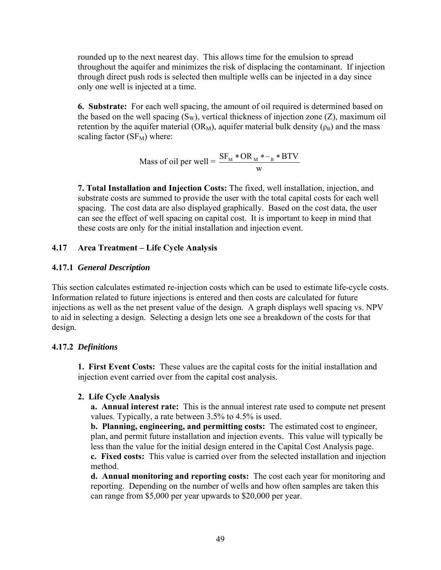rounded up to the next nearest day. This allows time for the emulsion to spread throughout the aquifer and minimizes the risk of displacing the contaminant. If injection through direct push rods is selected then multiple wells can be injected in a day since only one well is injected at a time.

**6. Substrate:** For each well spacing, the amount of oil required is determined based on the based on the well spacing  $(S_W)$ , vertical thickness of injection zone  $(Z)$ , maximum oil retention by the aquifer material ( $OR_M$ ), aquifer material bulk density ( $\rho_B$ ) and the mass scaling factor  $(SF_M)$  where:

Mass of oil per well = 
$$
\frac{SF_{M} * OR_{M} * -_{B} * BTV}{W}
$$

**7. Total Installation and Injection Costs:** The fixed, well installation, injection, and substrate costs are summed to provide the user with the total capital costs for each well spacing. The cost data are also displayed graphically. Based on the cost data, the user can see the effect of well spacing on capital cost. It is important to keep in mind that these costs are only for the initial installation and injection event.

## **4.17 Area Treatment – Life Cycle Analysis**

#### **4.17.1** *General Description*

This section calculates estimated re-injection costs which can be used to estimate life-cycle costs. Information related to future injections is entered and then costs are calculated for future injections as well as the net present value of the design. A graph displays well spacing vs. NPV to aid in selecting a design. Selecting a design lets one see a breakdown of the costs for that design.

#### **4.17.2** *Definitions*

**1. First Event Costs:** These values are the capital costs for the initial installation and injection event carried over from the capital cost analysis.

#### **2. Life Cycle Analysis**

**a. Annual interest rate:** This is the annual interest rate used to compute net present values. Typically, a rate between 3.5% to 4.5% is used.

**b. Planning, engineering, and permitting costs:** The estimated cost to engineer, plan, and permit future installation and injection events. This value will typically be less than the value for the initial design entered in the Capital Cost Analysis page. **c. Fixed costs:** This value is carried over from the selected installation and injection

method.

**d. Annual monitoring and reporting costs:** The cost each year for monitoring and reporting. Depending on the number of wells and how often samples are taken this can range from \$5,000 per year upwards to \$20,000 per year.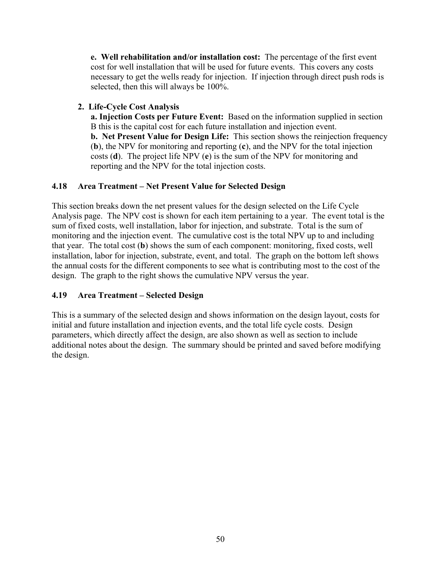**e. Well rehabilitation and/or installation cost:** The percentage of the first event cost for well installation that will be used for future events. This covers any costs necessary to get the wells ready for injection. If injection through direct push rods is selected, then this will always be 100%.

# **2. Life-Cycle Cost Analysis**

**a. Injection Costs per Future Event:** Based on the information supplied in section B this is the capital cost for each future installation and injection event. **b. Net Present Value for Design Life:** This section shows the reinjection frequency (**b**), the NPV for monitoring and reporting (**c**), and the NPV for the total injection costs (**d**). The project life NPV (**e**) is the sum of the NPV for monitoring and reporting and the NPV for the total injection costs.

# **4.18 Area Treatment – Net Present Value for Selected Design**

This section breaks down the net present values for the design selected on the Life Cycle Analysis page. The NPV cost is shown for each item pertaining to a year. The event total is the sum of fixed costs, well installation, labor for injection, and substrate. Total is the sum of monitoring and the injection event. The cumulative cost is the total NPV up to and including that year. The total cost (**b**) shows the sum of each component: monitoring, fixed costs, well installation, labor for injection, substrate, event, and total. The graph on the bottom left shows the annual costs for the different components to see what is contributing most to the cost of the design. The graph to the right shows the cumulative NPV versus the year.

# **4.19 Area Treatment – Selected Design**

This is a summary of the selected design and shows information on the design layout, costs for initial and future installation and injection events, and the total life cycle costs. Design parameters, which directly affect the design, are also shown as well as section to include additional notes about the design. The summary should be printed and saved before modifying the design.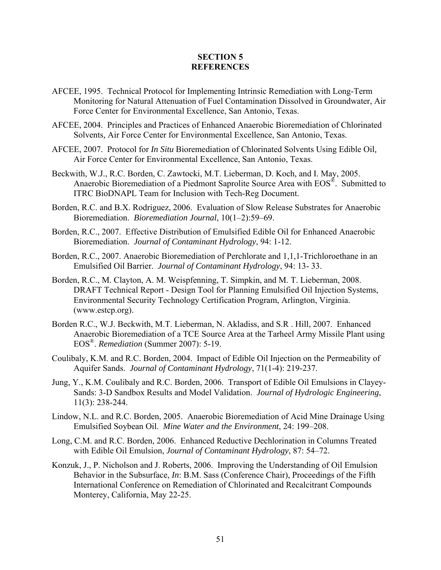#### **SECTION 5 REFERENCES**

- AFCEE, 1995. Technical Protocol for Implementing Intrinsic Remediation with Long-Term Monitoring for Natural Attenuation of Fuel Contamination Dissolved in Groundwater, Air Force Center for Environmental Excellence, San Antonio, Texas.
- AFCEE, 2004. Principles and Practices of Enhanced Anaerobic Bioremediation of Chlorinated Solvents*,* Air Force Center for Environmental Excellence, San Antonio, Texas.
- AFCEE, 2007. Protocol for *In Situ* Bioremediation of Chlorinated Solvents Using Edible Oil*,* Air Force Center for Environmental Excellence, San Antonio, Texas.
- Beckwith, W.J., R.C. Borden, C. Zawtocki, M.T. Lieberman, D. Koch, and I. May, 2005. Anaerobic Bioremediation of a Piedmont Saprolite Source Area with EOS®. Submitted to ITRC BioDNAPL Team for Inclusion with Tech-Reg Document.
- Borden, R.C. and B.X. Rodriguez, 2006. Evaluation of Slow Release Substrates for Anaerobic Bioremediation. *Bioremediation Journal*, 10(1–2):59–69.
- Borden, R.C., 2007. Effective Distribution of Emulsified Edible Oil for Enhanced Anaerobic Bioremediation. *Journal of Contaminant Hydrology*, 94: 1-12.
- Borden, R.C., 2007. Anaerobic Bioremediation of Perchlorate and 1,1,1-Trichloroethane in an Emulsified Oil Barrier. *Journal of Contaminant Hydrology*, 94: 13- 33.
- Borden, R.C., M. Clayton, A. M. Weispfenning, T. Simpkin, and M. T. Lieberman, 2008. DRAFT Technical Report - Design Tool for Planning Emulsified Oil Injection Systems, Environmental Security Technology Certification Program, Arlington, Virginia. (www.estcp.org).
- Borden R.C., W.J. Beckwith, M.T. Lieberman, N. Akladiss, and S.R . Hill, 2007. Enhanced Anaerobic Bioremediation of a TCE Source Area at the Tarheel Army Missile Plant using EOS®. *Remediation* (Summer 2007): 5-19.
- Coulibaly, K.M. and R.C. Borden, 2004. Impact of Edible Oil Injection on the Permeability of Aquifer Sands. *Journal of Contaminant Hydrology*, 71(1-4): 219-237.
- Jung, Y., K.M. Coulibaly and R.C. Borden, 2006. Transport of Edible Oil Emulsions in Clayey-Sands: 3-D Sandbox Results and Model Validation. *Journal of Hydrologic Engineering*, 11(3): 238-244.
- Lindow, N.L. and R.C. Borden, 2005. Anaerobic Bioremediation of Acid Mine Drainage Using Emulsified Soybean Oil. *Mine Water and the Environment*, 24: 199–208.
- Long, C.M. and R.C. Borden, 2006. Enhanced Reductive Dechlorination in Columns Treated with Edible Oil Emulsion, *Journal of Contaminant Hydrology*, 87: 54–72.
- Konzuk, J., P. Nicholson and J. Roberts, 2006. Improving the Understanding of Oil Emulsion Behavior in the Subsurface, *In*: B.M. Sass (Conference Chair), Proceedings of the Fifth International Conference on Remediation of Chlorinated and Recalcitrant Compounds Monterey, California, May 22-25.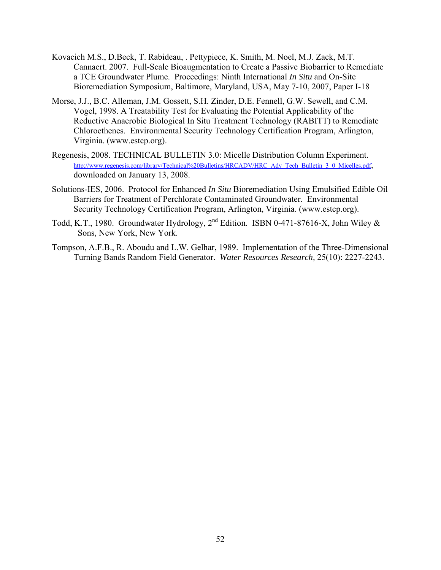- Kovacich M.S., D.Beck, T. Rabideau, . Pettypiece, K. Smith, M. Noel, M.J. Zack, M.T. Cannaert. 2007. Full-Scale Bioaugmentation to Create a Passive Biobarrier to Remediate a TCE Groundwater Plume. Proceedings: Ninth International *In Situ* and On-Site Bioremediation Symposium, Baltimore, Maryland, USA, May 7-10, 2007, Paper I-18
- Morse, J.J., B.C. Alleman, J.M. Gossett, S.H. Zinder, D.E. Fennell, G.W. Sewell, and C.M. Vogel, 1998. A Treatability Test for Evaluating the Potential Applicability of the Reductive Anaerobic Biological In Situ Treatment Technology (RABITT) to Remediate Chloroethenes. Environmental Security Technology Certification Program, Arlington, Virginia. (www.estcp.org).
- Regenesis, 2008. TECHNICAL BULLETIN 3.0: Micelle Distribution Column Experiment. [http://www.regenesis.com/library/Technical%20Bulletins/HRCADV/HRC\\_Adv\\_Tech\\_Bulletin\\_3\\_0\\_Micelles.pdf](http://www.regenesis.com/library/Technical%20Bulletins/HRCADV/HRC_Adv_Tech_Bulletin_3_0_Micelles.pdf), downloaded on January 13, 2008.
- Solutions-IES, 2006. Protocol for Enhanced *In Situ* Bioremediation Using Emulsified Edible Oil Barriers for Treatment of Perchlorate Contaminated Groundwater. Environmental Security Technology Certification Program, Arlington, Virginia. (www.estcp.org).
- Todd, K.T., 1980. Groundwater Hydrology, 2nd Edition. ISBN 0-471-87616-X, John Wiley & Sons, New York, New York.
- Tompson, A.F.B., R. Aboudu and L.W. Gelhar, 1989. Implementation of the Three-Dimensional Turning Bands Random Field Generator. *Water Resources Research,* 25(10): 2227-2243.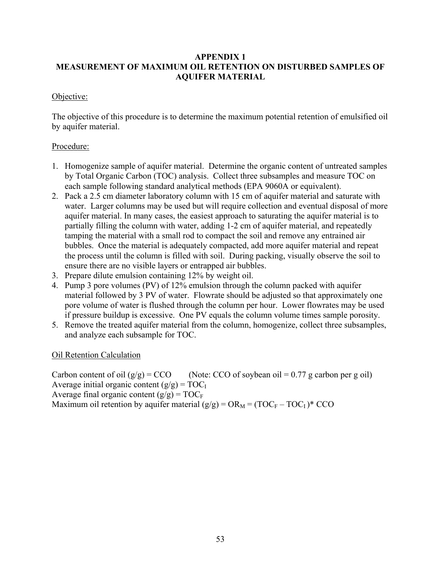## **APPENDIX 1 MEASUREMENT OF MAXIMUM OIL RETENTION ON DISTURBED SAMPLES OF AQUIFER MATERIAL**

# Objective:

The objective of this procedure is to determine the maximum potential retention of emulsified oil by aquifer material.

# Procedure:

- 1. Homogenize sample of aquifer material. Determine the organic content of untreated samples by Total Organic Carbon (TOC) analysis. Collect three subsamples and measure TOC on each sample following standard analytical methods (EPA 9060A or equivalent).
- 2. Pack a 2.5 cm diameter laboratory column with 15 cm of aquifer material and saturate with water. Larger columns may be used but will require collection and eventual disposal of more aquifer material. In many cases, the easiest approach to saturating the aquifer material is to partially filling the column with water, adding 1-2 cm of aquifer material, and repeatedly tamping the material with a small rod to compact the soil and remove any entrained air bubbles. Once the material is adequately compacted, add more aquifer material and repeat the process until the column is filled with soil. During packing, visually observe the soil to ensure there are no visible layers or entrapped air bubbles.
- 3. Prepare dilute emulsion containing 12% by weight oil.
- 4. Pump 3 pore volumes (PV) of 12% emulsion through the column packed with aquifer material followed by 3 PV of water. Flowrate should be adjusted so that approximately one pore volume of water is flushed through the column per hour. Lower flowrates may be used if pressure buildup is excessive. One PV equals the column volume times sample porosity.
- 5. Remove the treated aquifer material from the column, homogenize, collect three subsamples, and analyze each subsample for TOC.

Oil Retention Calculation

Carbon content of oil  $(g/g) = CCO$  (Note: CCO of soybean oil = 0.77 g carbon per g oil) Average initial organic content  $(g/g) = TOC$ Average final organic content  $(g/g) = TOC_F$ Maximum oil retention by aquifer material  $(g/g) = OR_M = (TOC_F - TOC_I)^*$  CCO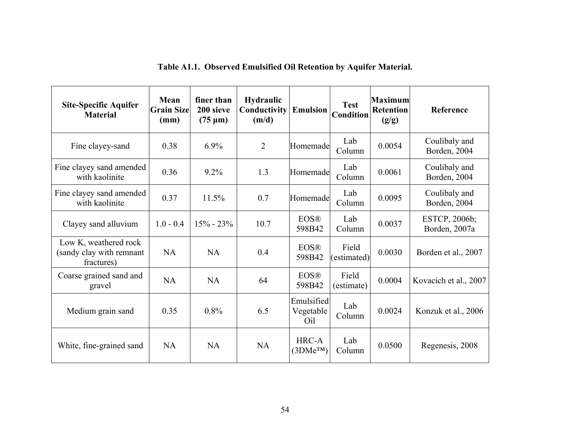| <b>Site-Specific Aquifer</b><br><b>Material</b>                 | Mean<br><b>Grain Sizel</b><br>(mm) | finer than<br>200 sieve<br>$(75 \mu m)$ | <b>Hydraulic</b><br>Conductivity<br>(m/d) | <b>Emulsion</b>                | <b>Test</b><br><b>Condition</b> | Maximum<br><b>Retention</b><br>(g/g) | Reference                      |
|-----------------------------------------------------------------|------------------------------------|-----------------------------------------|-------------------------------------------|--------------------------------|---------------------------------|--------------------------------------|--------------------------------|
| Fine clayey-sand                                                | 0.38                               | $6.9\%$                                 | $\overline{2}$                            | Homemade                       | Lab<br>Column                   | 0.0054                               | Coulibaly and<br>Borden, 2004  |
| Fine clayey sand amended<br>with kaolinite                      | 0.36                               | 9.2%                                    | 1.3                                       | Homemade                       | Lab<br>Column                   | 0.0061                               | Coulibaly and<br>Borden, 2004  |
| Fine clayey sand amended<br>with kaolinite                      | 0.37                               | 11.5%                                   | 0.7                                       | Homemade                       | Lab<br>Column                   | 0.0095                               | Coulibaly and<br>Borden, 2004  |
| Clayey sand alluvium                                            | $1.0 - 0.4$                        | $15\% - 23\%$                           | 10.7                                      | <b>EOS®</b><br>598B42          | Lab<br>Column                   | 0.0037                               | ESTCP, 2006b;<br>Borden, 2007a |
| Low K, weathered rock<br>(sandy clay with remnant<br>fractures) | <b>NA</b>                          | NA                                      | 0.4                                       | <b>EOS®</b><br>598B42          | Field<br>(estimated)            | 0.0030                               | Borden et al., 2007            |
| Coarse grained sand and<br>gravel                               | <b>NA</b>                          | <b>NA</b>                               | 64                                        | <b>EOS®</b><br>598B42          | Field<br>(estimate)             | 0.0004                               | Kovacich et al., 2007          |
| Medium grain sand                                               | 0.35                               | 0.8%                                    | 6.5                                       | Emulsified<br>Vegetable<br>Oil | Lab<br>Column                   | 0.0024                               | Konzuk et al., 2006            |
| White, fine-grained sand                                        | <b>NA</b>                          | NA                                      | NA                                        | HRC-A<br>$(3DMe^{TM})$         | Lab<br>Column                   | 0.0500                               | Regenesis, 2008                |

# **Table A1.1. Observed Emulsified Oil Retention by Aquifer Material.**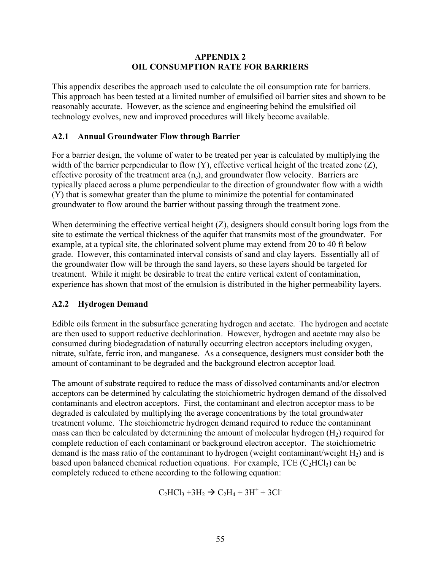#### **APPENDIX 2 OIL CONSUMPTION RATE FOR BARRIERS**

This appendix describes the approach used to calculate the oil consumption rate for barriers. This approach has been tested at a limited number of emulsified oil barrier sites and shown to be reasonably accurate. However, as the science and engineering behind the emulsified oil technology evolves, new and improved procedures will likely become available.

# **A2.1 Annual Groundwater Flow through Barrier**

For a barrier design, the volume of water to be treated per year is calculated by multiplying the width of the barrier perpendicular to flow (Y), effective vertical height of the treated zone (Z), effective porosity of the treatment area  $(n_e)$ , and groundwater flow velocity. Barriers are typically placed across a plume perpendicular to the direction of groundwater flow with a width (Y) that is somewhat greater than the plume to minimize the potential for contaminated groundwater to flow around the barrier without passing through the treatment zone.

When determining the effective vertical height (Z), designers should consult boring logs from the site to estimate the vertical thickness of the aquifer that transmits most of the groundwater. For example, at a typical site, the chlorinated solvent plume may extend from 20 to 40 ft below grade. However, this contaminated interval consists of sand and clay layers. Essentially all of the groundwater flow will be through the sand layers, so these layers should be targeted for treatment. While it might be desirable to treat the entire vertical extent of contamination, experience has shown that most of the emulsion is distributed in the higher permeability layers.

## **A2.2 Hydrogen Demand**

Edible oils ferment in the subsurface generating hydrogen and acetate. The hydrogen and acetate are then used to support reductive dechlorination. However, hydrogen and acetate may also be consumed during biodegradation of naturally occurring electron acceptors including oxygen, nitrate, sulfate, ferric iron, and manganese. As a consequence, designers must consider both the amount of contaminant to be degraded and the background electron acceptor load.

The amount of substrate required to reduce the mass of dissolved contaminants and/or electron acceptors can be determined by calculating the stoichiometric hydrogen demand of the dissolved contaminants and electron acceptors. First, the contaminant and electron acceptor mass to be degraded is calculated by multiplying the average concentrations by the total groundwater treatment volume. The stoichiometric hydrogen demand required to reduce the contaminant mass can then be calculated by determining the amount of molecular hydrogen  $(H<sub>2</sub>)$  required for complete reduction of each contaminant or background electron acceptor. The stoichiometric demand is the mass ratio of the contaminant to hydrogen (weight contaminant/weight  $H_2$ ) and is based upon balanced chemical reduction equations. For example,  $TCE$  ( $C_2HCI_3$ ) can be completely reduced to ethene according to the following equation:

 $C_2HCl_3 + 3H_2 \rightarrow C_2H_4 + 3H^+ + 3Cl^-$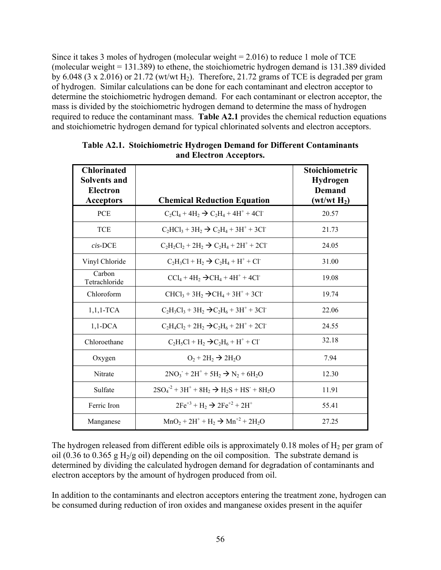Since it takes 3 moles of hydrogen (molecular weight = 2.016) to reduce 1 mole of TCE (molecular weight = 131.389) to ethene, the stoichiometric hydrogen demand is 131.389 divided by 6.048 (3 x 2.016) or 21.72 (wt/wt  $H_2$ ). Therefore, 21.72 grams of TCE is degraded per gram of hydrogen. Similar calculations can be done for each contaminant and electron acceptor to determine the stoichiometric hydrogen demand. For each contaminant or electron acceptor, the mass is divided by the stoichiometric hydrogen demand to determine the mass of hydrogen required to reduce the contaminant mass. **Table A2.1** provides the chemical reduction equations and stoichiometric hydrogen demand for typical chlorinated solvents and electron acceptors.

| <b>Chlorinated</b><br><b>Solvents and</b><br><b>Electron</b><br><b>Acceptors</b> | <b>Chemical Reduction Equation</b>                                 | <b>Stoichiometric</b><br><b>Hydrogen</b><br><b>Demand</b><br>(wt/wt H <sub>2</sub> ) |
|----------------------------------------------------------------------------------|--------------------------------------------------------------------|--------------------------------------------------------------------------------------|
| <b>PCE</b>                                                                       | $C_2Cl_4 + 4H_2 \rightarrow C_2H_4 + 4H^+ + 4Cl^-$                 | 20.57                                                                                |
| <b>TCE</b>                                                                       | $C_2HCl_3 + 3H_2 \rightarrow C_2H_4 + 3H^+ + 3Cl^-$                | 21.73                                                                                |
| $cis$ -DCE                                                                       | $C_2H_2Cl_2 + 2H_2 \rightarrow C_2H_4 + 2H^+ + 2Cl^-$              | 24.05                                                                                |
| Vinyl Chloride                                                                   | $C_2H_3Cl + H_2 \rightarrow C_2H_4 + H^+ + Cl^-$                   | 31.00                                                                                |
| Carbon<br>Tetrachloride                                                          | $CCl4 + 4H2 \rightarrow CH4 + 4H+ + 4Cl-$                          | 19.08                                                                                |
| Chloroform                                                                       | $CHCl_3 + 3H_2 \rightarrow CH_4 + 3H^+ + 3Cl^-$                    | 19.74                                                                                |
| $1,1,1$ -TCA                                                                     | $C_2H_3Cl_3 + 3H_2 \rightarrow C_2H_6 + 3H^+ + 3Cl^-$              | 22.06                                                                                |
| $1,1$ -DCA                                                                       | $C_2H_4Cl_2 + 2H_2 \rightarrow C_2H_6 + 2H^+ + 2Cl^-$              | 24.55                                                                                |
| Chloroethane                                                                     | $C_2H_5Cl + H_2 \rightarrow C_2H_6 + H^+ + Cl^-$                   | 32.18                                                                                |
| Oxygen                                                                           | $O_2 + 2H_2 \rightarrow 2H_2O$                                     | 7.94                                                                                 |
| Nitrate                                                                          | $2NO_3$ <sup>+</sup> $2H^+$ + $5H_2$ $\rightarrow$ $N_2$ + $6H_2O$ | 12.30                                                                                |
| Sulfate                                                                          | $2SO_4^2 + 3H^+ + 8H_2 \rightarrow H_2S + HS^+ + 8H_2O$            | 11.91                                                                                |
| Ferric Iron                                                                      | $2Fe^{+3} + H_2 \rightarrow 2Fe^{+2} + 2H^+$                       | 55.41                                                                                |
| Manganese                                                                        | $MnO_2 + 2H^+ + H_2 \rightarrow Mn^{+2} + 2H_2O$                   | 27.25                                                                                |

| Table A2.1. Stoichiometric Hydrogen Demand for Different Contaminants |
|-----------------------------------------------------------------------|
| and Electron Acceptors.                                               |

The hydrogen released from different edible oils is approximately 0.18 moles of  $H_2$  per gram of oil (0.36 to 0.365 g H<sub>2</sub>/g oil) depending on the oil composition. The substrate demand is determined by dividing the calculated hydrogen demand for degradation of contaminants and electron acceptors by the amount of hydrogen produced from oil.

In addition to the contaminants and electron acceptors entering the treatment zone, hydrogen can be consumed during reduction of iron oxides and manganese oxides present in the aquifer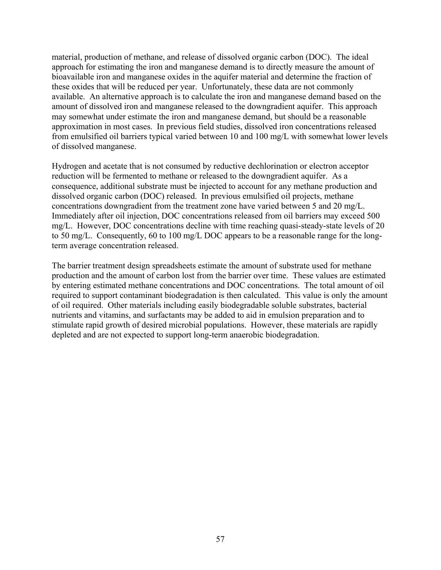material, production of methane, and release of dissolved organic carbon (DOC). The ideal approach for estimating the iron and manganese demand is to directly measure the amount of bioavailable iron and manganese oxides in the aquifer material and determine the fraction of these oxides that will be reduced per year. Unfortunately, these data are not commonly available. An alternative approach is to calculate the iron and manganese demand based on the amount of dissolved iron and manganese released to the downgradient aquifer. This approach may somewhat under estimate the iron and manganese demand, but should be a reasonable approximation in most cases. In previous field studies, dissolved iron concentrations released from emulsified oil barriers typical varied between 10 and 100 mg/L with somewhat lower levels of dissolved manganese.

Hydrogen and acetate that is not consumed by reductive dechlorination or electron acceptor reduction will be fermented to methane or released to the downgradient aquifer. As a consequence, additional substrate must be injected to account for any methane production and dissolved organic carbon (DOC) released. In previous emulsified oil projects, methane concentrations downgradient from the treatment zone have varied between 5 and 20 mg/L. Immediately after oil injection, DOC concentrations released from oil barriers may exceed 500 mg/L. However, DOC concentrations decline with time reaching quasi-steady-state levels of 20 to 50 mg/L. Consequently, 60 to 100 mg/L DOC appears to be a reasonable range for the longterm average concentration released.

The barrier treatment design spreadsheets estimate the amount of substrate used for methane production and the amount of carbon lost from the barrier over time. These values are estimated by entering estimated methane concentrations and DOC concentrations. The total amount of oil required to support contaminant biodegradation is then calculated. This value is only the amount of oil required. Other materials including easily biodegradable soluble substrates, bacterial nutrients and vitamins, and surfactants may be added to aid in emulsion preparation and to stimulate rapid growth of desired microbial populations. However, these materials are rapidly depleted and are not expected to support long-term anaerobic biodegradation.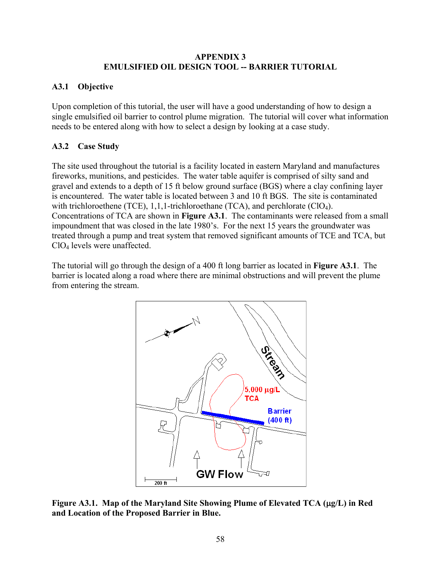#### **APPENDIX 3 EMULSIFIED OIL DESIGN TOOL -- BARRIER TUTORIAL**

# **A3.1 Objective**

Upon completion of this tutorial, the user will have a good understanding of how to design a single emulsified oil barrier to control plume migration. The tutorial will cover what information needs to be entered along with how to select a design by looking at a case study.

# **A3.2 Case Study**

The site used throughout the tutorial is a facility located in eastern Maryland and manufactures fireworks, munitions, and pesticides. The water table aquifer is comprised of silty sand and gravel and extends to a depth of 15 ft below ground surface (BGS) where a clay confining layer is encountered. The water table is located between 3 and 10 ft BGS. The site is contaminated with trichloroethene (TCE),  $1,1,1$ -trichloroethane (TCA), and perchlorate (ClO<sub>4</sub>). Concentrations of TCA are shown in **Figure A3.1**. The contaminants were released from a small impoundment that was closed in the late 1980's. For the next 15 years the groundwater was treated through a pump and treat system that removed significant amounts of TCE and TCA, but ClO4 levels were unaffected.

The tutorial will go through the design of a 400 ft long barrier as located in **Figure A3.1**. The barrier is located along a road where there are minimal obstructions and will prevent the plume from entering the stream.



**Figure A3.1. Map of the Maryland Site Showing Plume of Elevated TCA (**μ**g/L) in Red and Location of the Proposed Barrier in Blue.**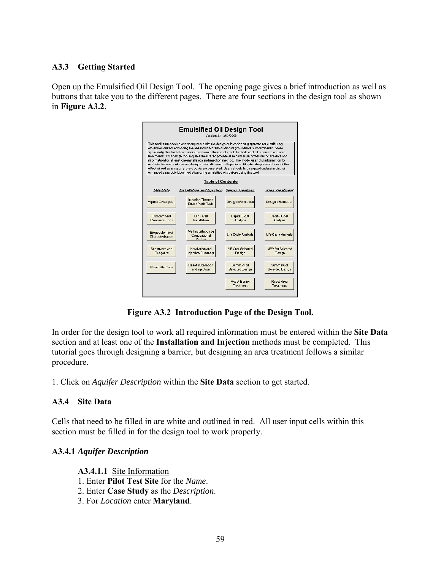# **A3.3 Getting Started**

Open up the Emulsified Oil Design Tool. The opening page gives a brief introduction as well as buttons that take you to the different pages. There are four sections in the design tool as shown in **Figure A3.2**.

| Emulsified Oil Design Tool<br>Version 33 - 2/13/2008                                                                                                                                                                                                                                                                                                                                                                                                                                                                                                                                                                                                                                                                                                                                                                            |                                                  |                                   |                               |  |  |
|---------------------------------------------------------------------------------------------------------------------------------------------------------------------------------------------------------------------------------------------------------------------------------------------------------------------------------------------------------------------------------------------------------------------------------------------------------------------------------------------------------------------------------------------------------------------------------------------------------------------------------------------------------------------------------------------------------------------------------------------------------------------------------------------------------------------------------|--------------------------------------------------|-----------------------------------|-------------------------------|--|--|
| This tool is intended to assist engineers with the design of injection only systems for distributing<br>emulsified oils for enhancing the anaerobic bioremediation of groundwater contaminants. More<br>specifically, this tool allows users to evaluate the use of emulsified oils applied in barriers and area<br>treatments. This design tool requires the user to provide all necessary information for site data and<br>information for at least one installation and injection method. The model uses this information to<br>evaluate the costs of various designs using different well spacings. Graphical representations of the<br>effect of well spacing on project costs are generated. Users should have a good understanding of<br>enhanced anaerobic bioremediation using emulsified oils before using this tool. |                                                  |                                   |                               |  |  |
| <b>Table of Contents</b>                                                                                                                                                                                                                                                                                                                                                                                                                                                                                                                                                                                                                                                                                                                                                                                                        |                                                  |                                   |                               |  |  |
| <b>Site Data</b>                                                                                                                                                                                                                                                                                                                                                                                                                                                                                                                                                                                                                                                                                                                                                                                                                | Installation and Injection                       | <b>Sarrier Treatmen</b>           | <b>Area Treatment</b>         |  |  |
| <b>Aquifer Description</b>                                                                                                                                                                                                                                                                                                                                                                                                                                                                                                                                                                                                                                                                                                                                                                                                      | Injection Through<br>Direct Push Rods            | Design Information                | Design Information            |  |  |
| Contaminant<br>Concentrations                                                                                                                                                                                                                                                                                                                                                                                                                                                                                                                                                                                                                                                                                                                                                                                                   | DPT Vell<br>Installation                         | Capital Cost<br>Analysis          | Capital Cost<br>Analysis      |  |  |
| Biogeochemical<br>Characterization                                                                                                                                                                                                                                                                                                                                                                                                                                                                                                                                                                                                                                                                                                                                                                                              | Well Installation bu<br>Conventional<br>Drilling | Life Cycle Analysis               | Life Cycle Analysis           |  |  |
| Substrates and<br>Reagants                                                                                                                                                                                                                                                                                                                                                                                                                                                                                                                                                                                                                                                                                                                                                                                                      | Installation and<br><b>Injection Summary</b>     | NPV for Selected<br>Design        | NPV for Selected<br>Design    |  |  |
| Reset Site Data                                                                                                                                                                                                                                                                                                                                                                                                                                                                                                                                                                                                                                                                                                                                                                                                                 | Reset Installation<br>and Injection              | Summary of<br>Selected Design     | Summary of<br>Selected Design |  |  |
|                                                                                                                                                                                                                                                                                                                                                                                                                                                                                                                                                                                                                                                                                                                                                                                                                                 |                                                  | <b>Reset Barrier</b><br>Treatment | Reset Area<br>Treatment       |  |  |

**Figure A3.2 Introduction Page of the Design Tool.** 

In order for the design tool to work all required information must be entered within the **Site Data** section and at least one of the **Installation and Injection** methods must be completed. This tutorial goes through designing a barrier, but designing an area treatment follows a similar procedure.

1. Click on *Aquifer Description* within the **Site Data** section to get started.

## **A3.4 Site Data**

Cells that need to be filled in are white and outlined in red. All user input cells within this section must be filled in for the design tool to work properly.

## **A3.4.1** *Aquifer Description*

**A3.4.1.1** Site Information

- 1. Enter **Pilot Test Site** for the *Name*.
- 2. Enter **Case Study** as the *Description*.
- 3. For *Location* enter **Maryland**.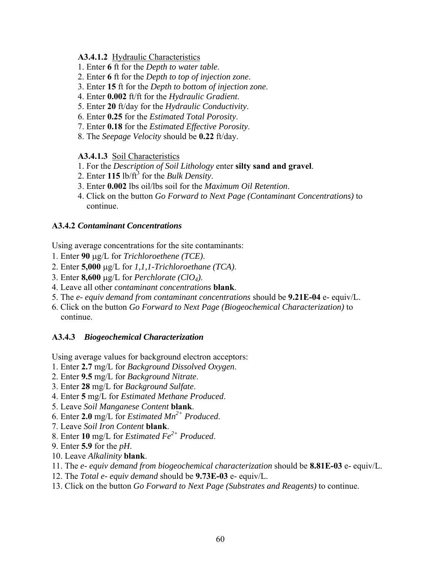#### **A3.4.1.2** Hydraulic Characteristics

- 1. Enter **6** ft for the *Depth to water table*.
- 2. Enter **6** ft for the *Depth to top of injection zone*.
- 3. Enter **15** ft for the *Depth to bottom of injection zone*.
- 4. Enter **0.002** ft/ft for the *Hydraulic Gradient*.
- 5. Enter **20** ft/day for the *Hydraulic Conductivity*.
- 6. Enter **0.25** for the *Estimated Total Porosity*.
- 7. Enter **0.18** for the *Estimated Effective Porosity*.
- 8. The *Seepage Velocity* should be **0.22** ft/day.

#### **A3.4.1.3** Soil Characteristics

- 1. For the *Description of Soil Lithology* enter **silty sand and gravel**.
- 2. Enter  $115$  lb/ft<sup>3</sup> for the *Bulk Density*.
- 3. Enter **0.002** lbs oil/lbs soil for the *Maximum Oil Retention*.
- 4. Click on the button *Go Forward to Next Page (Contaminant Concentrations)* to continue.

#### **A3.4.2** *Contaminant Concentrations*

Using average concentrations for the site contaminants:

- 1. Enter **90** μg/L for *Trichloroethene (TCE)*.
- 2. Enter **5,000** μg/L for *1,1,1-Trichloroethane (TCA)*.
- 3. Enter **8,600** μg/L for *Perchlorate (ClO4)*.
- 4. Leave all other *contaminant concentrations* **blank**.
- 5. The *e- equiv demand from contaminant concentrations* should be **9.21E-04** e- equiv/L.
- 6. Click on the button *Go Forward to Next Page (Biogeochemical Characterization)* to continue.

## **A3.4.3** *Biogeochemical Characterization*

Using average values for background electron acceptors:

- 1. Enter **2.7** mg/L for *Background Dissolved Oxygen*.
- 2. Enter **9.5** mg/L for *Background Nitrate*.
- 3. Enter **28** mg/L for *Background Sulfate*.
- 4. Enter **5** mg/L for *Estimated Methane Produced*.
- 5. Leave *Soil Manganese Content* **blank**.
- 6. Enter **2.0** mg/L for *Estimated Mn2+ Produced*.
- 7. Leave *Soil Iron Content* **blank**.
- 8. Enter **10** mg/L for *Estimated Fe2+ Produced*.
- 9. Enter **5.9** for the *pH*.
- 10. Leave *Alkalinity* **blank**.
- 11. The *e- equiv demand from biogeochemical characterization* should be **8.81E-03** e- equiv/L.
- 12. The *Total e- equiv demand* should be **9.73E-03** e- equiv/L.
- 13. Click on the button *Go Forward to Next Page (Substrates and Reagents)* to continue.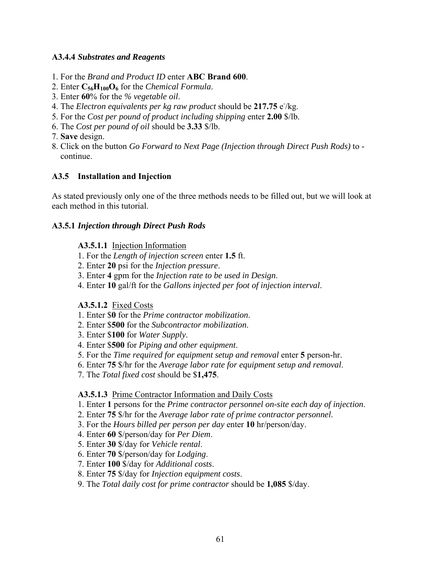#### **A3.4.4** *Substrates and Reagents*

- 1. For the *Brand and Product ID* enter **ABC Brand 600**.
- 2. Enter **C56H100O6** for the *Chemical Formula*.
- 3. Enter **60**% for the *% vegetable oil*.
- 4. The *Electron equivalents per kg raw product* should be 217.75 e/kg.
- 5. For the *Cost per pound of product including shipping* enter **2.00** \$/lb.
- 6. The *Cost per pound of oil* should be **3.33** \$/lb.
- 7. **Save** design.
- 8. Click on the button *Go Forward to Next Page (Injection through Direct Push Rods)* to \_\_continue.

## **A3.5 Installation and Injection**

As stated previously only one of the three methods needs to be filled out, but we will look at each method in this tutorial.

#### **A3.5.1** *Injection through Direct Push Rods*

#### **A3.5.1.1** Injection Information

- 1. For the *Length of injection screen* enter **1.5** ft.
- 2. Enter **20** psi for the *Injection pressure*.
- 3. Enter **4** gpm for the *Injection rate to be used in Design*.
- 4. Enter **10** gal/ft for the *Gallons injected per foot of injection interval*.

#### **A3.5.1.2** Fixed Costs

- 1. Enter \$**0** for the *Prime contractor mobilization*.
- 2. Enter \$**500** for the *Subcontractor mobilization*.
- 3. Enter \$**100** for *Water Supply*.
- 4. Enter \$**500** for *Piping and other equipment*.
- 5. For the *Time required for equipment setup and removal* enter **5** person-hr.
- 6. Enter **75** \$/hr for the *Average labor rate for equipment setup and removal*.
- 7. The *Total fixed cost* should be \$**1,475**.

#### **A3.5.1.3** Prime Contractor Information and Daily Costs

- 1. Enter **1** persons for the *Prime contractor personnel on-site each day of injection*.
- 2. Enter **75** \$/hr for the *Average labor rate of prime contractor personnel*.
- 3. For the *Hours billed per person per day* enter **10** hr/person/day.
- 4. Enter **60** \$/person/day for *Per Diem*.
- 5. Enter **30** \$/day for *Vehicle rental*.
- 6. Enter **70** \$/person/day for *Lodging*.
- 7. Enter **100** \$/day for *Additional costs*.
- 8. Enter **75** \$/day for *Injection equipment costs*.
- 9. The *Total daily cost for prime contractor* should be **1,085** \$/day.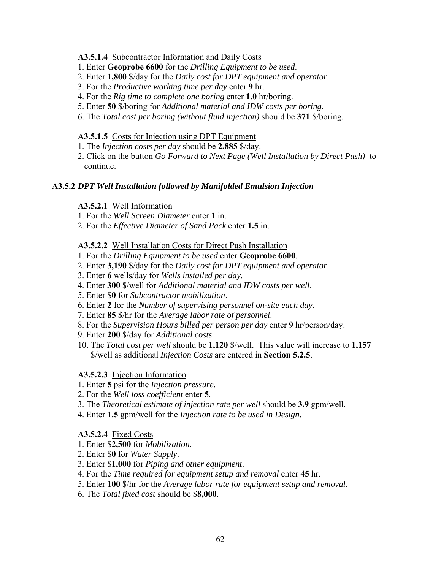#### **A3.5.1.4** Subcontractor Information and Daily Costs

- 1. Enter **Geoprobe 6600** for the *Drilling Equipment to be used*.
- 2. Enter **1,800** \$/day for the *Daily cost for DPT equipment and operator*.
- 3. For the *Productive working time per day* enter **9** hr.
- 4. For the *Rig time to complete one boring* enter **1.0** hr/boring.
- 5. Enter **50** \$/boring for *Additional material and IDW costs per boring*.
- 6. The *Total cost per boring (without fluid injection)* should be **371** \$/boring.

#### **A3.5.1.5** Costs for Injection using DPT Equipment

- 1. The *Injection costs per day* should be **2,885** \$/day.
- 2. Click on the button *Go Forward to Next Page (Well Installation by Direct Push)* ito continue.

## **A3.5.2** *DPT Well Installation followed by Manifolded Emulsion Injection*

#### **A3.5.2.1** Well Information

- 1. For the *Well Screen Diameter* enter **1** in.
- 2. For the *Effective Diameter of Sand Pack* enter **1.5** in.

#### **A3.5.2.2** Well Installation Costs for Direct Push Installation

- 1. For the *Drilling Equipment to be used* enter **Geoprobe 6600**.
- 2. Enter **3,190** \$/day for the *Daily cost for DPT equipment and operator*.
- 3. Enter **6** wells/day for *Wells installed per day*.
- 4. Enter **300** \$/well for *Additional material and IDW costs per well*.
- 5. Enter \$**0** for *Subcontractor mobilization*.
- 6. Enter **2** for the *Number of supervising personnel on-site each day*.
- 7. Enter **85** \$/hr for the *Average labor rate of personnel*.
- 8. For the *Supervision Hours billed per person per day* enter **9** hr/person/day.
- 9. Enter **200** \$/day for *Additional costs*.
- 10. The *Total cost per well* should be **1,120** \$/well. This value will increase to **1,157** \$/well as additional *Injection Costs* are entered in **Section 5.2.5**.

#### **A3.5.2.3** Injection Information

- 1. Enter **5** psi for the *Injection pressure*.
- 2. For the *Well loss coefficient* enter **5**.
- 3. The *Theoretical estimate of injection rate per well* should be **3.9** gpm/well.
- 4. Enter **1.5** gpm/well for the *Injection rate to be used in Design*.

#### **A3.5.2.4** Fixed Costs

- 1. Enter \$**2,500** for *Mobilization*.
- 2. Enter \$**0** for *Water Supply*.
- 3. Enter \$**1,000** for *Piping and other equipment*.
- 4. For the *Time required for equipment setup and removal* enter **45** hr.
- 5. Enter **100** \$/hr for the *Average labor rate for equipment setup and removal*.
- 6. The *Total fixed cost* should be \$**8,000**.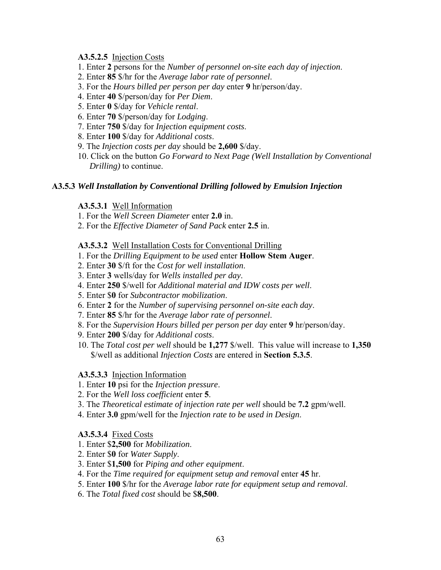#### **A3.5.2.5** Injection Costs

- 1. Enter **2** persons for the *Number of personnel on-site each day of injection*.
- 2. Enter **85** \$/hr for the *Average labor rate of personnel*.
- 3. For the *Hours billed per person per day* enter **9** hr/person/day.
- 4. Enter **40** \$/person/day for *Per Diem*.
- 5. Enter **0** \$/day for *Vehicle rental*.
- 6. Enter **70** \$/person/day for *Lodging*.
- 7. Enter **750** \$/day for *Injection equipment costs*.
- 8. Enter **100** \$/day for *Additional costs*.
- 9. The *Injection costs per day* should be **2,600** \$/day.
- 10. Click on the button *Go Forward to Next Page (Well Installation by Conventional Drilling*) to continue.

#### **A3.5.3** *Well Installation by Conventional Drilling followed by Emulsion Injection*

#### **A3.5.3.1** Well Information

- 1. For the *Well Screen Diameter* enter **2.0** in.
- 2. For the *Effective Diameter of Sand Pack* enter **2.5** in.

#### **A3.5.3.2** Well Installation Costs for Conventional Drilling

- 1. For the *Drilling Equipment to be used* enter **Hollow Stem Auger**.
- 2. Enter **30** \$/ft for the *Cost for well installation*.
- 3. Enter **3** wells/day for *Wells installed per day*.
- 4. Enter **250** \$/well for *Additional material and IDW costs per well*.
- 5. Enter \$**0** for *Subcontractor mobilization*.
- 6. Enter **2** for the *Number of supervising personnel on-site each day*.
- 7. Enter **85** \$/hr for the *Average labor rate of personnel*.
- 8. For the *Supervision Hours billed per person per day* enter **9** hr/person/day.
- 9. Enter **200** \$/day for *Additional costs*.
- 10. The *Total cost per well* should be **1,277** \$/well. This value will increase to **1,350** \$/well as additional *Injection Costs* are entered in **Section 5.3.5**.

#### **A3.5.3.3** Injection Information

- 1. Enter **10** psi for the *Injection pressure*.
- 2. For the *Well loss coefficient* enter **5**.
- 3. The *Theoretical estimate of injection rate per well* should be **7.2** gpm/well.
- 4. Enter **3.0** gpm/well for the *Injection rate to be used in Design*.

#### **A3.5.3.4** Fixed Costs

- 1. Enter \$**2,500** for *Mobilization*.
- 2. Enter \$**0** for *Water Supply*.
- 3. Enter \$**1,500** for *Piping and other equipment*.
- 4. For the *Time required for equipment setup and removal* enter **45** hr.
- 5. Enter **100** \$/hr for the *Average labor rate for equipment setup and removal*.
- 6. The *Total fixed cost* should be \$**8,500**.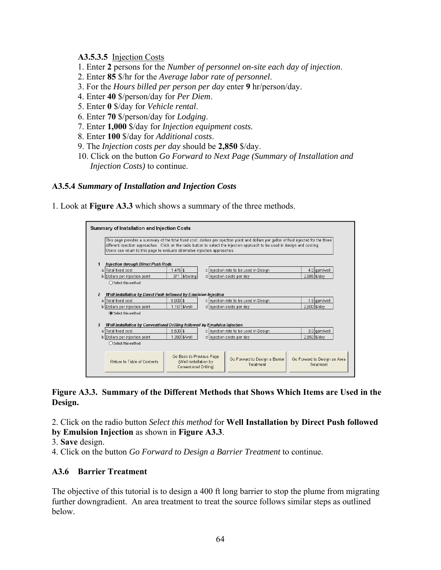#### **A3.5.3.5** Injection Costs

- 1. Enter **2** persons for the *Number of personnel on-site each day of injection*.
- 2. Enter **85** \$/hr for the *Average labor rate of personnel*.
- 3. For the *Hours billed per person per day* enter **9** hr/person/day.
- 4. Enter **40** \$/person/day for *Per Diem*.
- 5. Enter **0** \$/day for *Vehicle rental*.
- 6. Enter **70** \$/person/day for *Lodging*.
- 7. Enter **1,000** \$/day for *Injection equipment costs*.
- 8. Enter **100** \$/day for *Additional costs*.
- 9. The *Injection costs per day* should be **2,850** \$/day.
- 10. Click on the button *Go Forward to Next Page (Summary of Installation and Injection Costs*) to continue.

#### **A3.5.4** *Summary of Installation and Injection Costs*

1. Look at **Figure A3.3** which shows a summary of the three methods.



## **Figure A3.3. Summary of the Different Methods that Shows Which Items are Used in the Design.**

2. Click on the radio button *Select this method* for **Well Installation by Direct Push followed** 

**by Emulsion Injection** as shown in **Figure A3.3**.

- 3. **Save** design.
- 4. Click on the button *Go Forward to Design a Barrier Treatment* to continue.

## **A3.6 Barrier Treatment**

The objective of this tutorial is to design a 400 ft long barrier to stop the plume from migrating further downgradient. An area treatment to treat the source follows similar steps as outlined below.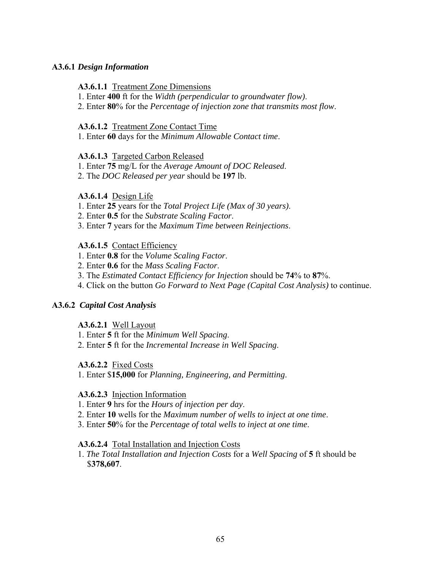## **A3.6.1** *Design Information*

### **A3.6.1.1** Treatment Zone Dimensions

- 1. Enter **400** ft for the *Width (perpendicular to groundwater flow)*.
- 2. Enter **80**% for the *Percentage of injection zone that transmits most flow*.

### **A3.6.1.2** Treatment Zone Contact Time

1. Enter **60** days for the *Minimum Allowable Contact time*.

### **A3.6.1.3** Targeted Carbon Released

- 1. Enter **75** mg/L for the *Average Amount of DOC Released*.
- 2. The *DOC Released per year* should be **197** lb.

## **A3.6.1.4** Design Life

- 1. Enter **25** years for the *Total Project Life (Max of 30 years)*.
- 2. Enter **0.5** for the *Substrate Scaling Factor*.
- 3. Enter **7** years for the *Maximum Time between Reinjections*.

## **A3.6.1.5** Contact Efficiency

- 1. Enter **0.8** for the *Volume Scaling Factor*.
- 2. Enter **0.6** for the *Mass Scaling Factor*.
- 3. The *Estimated Contact Efficiency for Injection* should be **74**% to **87**%.
- 4. Click on the button *Go Forward to Next Page (Capital Cost Analysis)* to continue.

## **A3.6.2** *Capital Cost Analysis*

#### **A3.6.2.1** Well Layout

- 1. Enter **5** ft for the *Minimum Well Spacing*.
- 2. Enter **5** ft for the *Incremental Increase in Well Spacing*.

## **A3.6.2.2** Fixed Costs

1. Enter \$**15,000** for *Planning, Engineering, and Permitting*.

#### **A3.6.2.3** Injection Information

- 1. Enter **9** hrs for the *Hours of injection per day*.
- 2. Enter **10** wells for the *Maximum number of wells to inject at one time*.
- 3. Enter **50**% for the *Percentage of total wells to inject at one time*.

#### **A3.6.2.4** Total Installation and Injection Costs

1. *The Total Installation and Injection Costs* for a *Well Spacing* of **5** ft should be I\$**378,607**.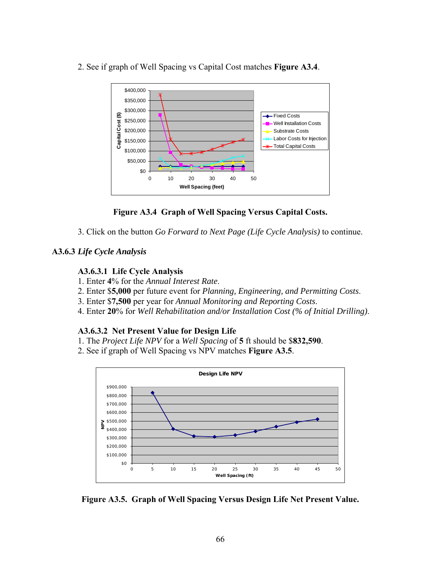

2. See if graph of Well Spacing vs Capital Cost matches **Figure A3.4**.

# **Figure A3.4 Graph of Well Spacing Versus Capital Costs.**

3. Click on the button *Go Forward to Next Page (Life Cycle Analysis)* to continue.

## **A3.6.3** *Life Cycle Analysis*

## **A3.6.3.1 Life Cycle Analysis**

- 1. Enter **4**% for the *Annual Interest Rate*.
- 2. Enter \$**5,000** per future event for *Planning, Engineering, and Permitting Costs*.
- 3. Enter \$**7,500** per year for *Annual Monitoring and Reporting Costs*.
- 4. Enter **20**% for *Well Rehabilitation and/or Installation Cost (% of Initial Drilling)*.

## **A3.6.3.2 Net Present Value for Design Life**

- 1. The *Project Life NPV* for a *Well Spacing* of **5** ft should be \$**832,590**.
- 2. See if graph of Well Spacing vs NPV matches **Figure A3.5**.



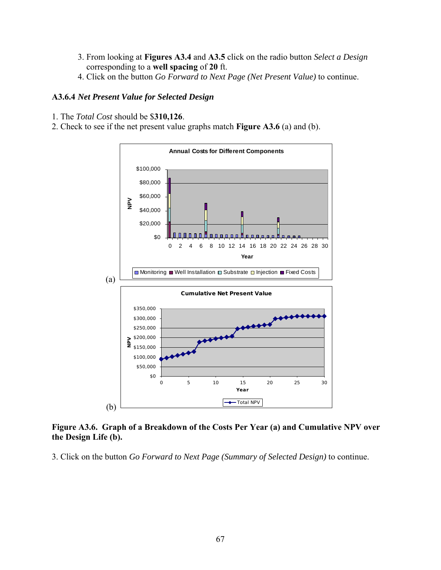- 3. From looking at **Figures A3.4** and **A3.5** click on the radio button *Select a Design* corresponding to a well spacing of 20 ft.
- 4. Click on the button *Go Forward to Next Page (Net Present Value)* to continue.

## **A3.6.4** *Net Present Value for Selected Design*

- 1. The *Total Cost* should be \$**310,126**.
- 2. Check to see if the net present value graphs match **Figure A3.6** (a) and (b).



**Figure A3.6. Graph of a Breakdown of the Costs Per Year (a) and Cumulative NPV over the Design Life (b).**

3. Click on the button *Go Forward to Next Page (Summary of Selected Design)* to continue.